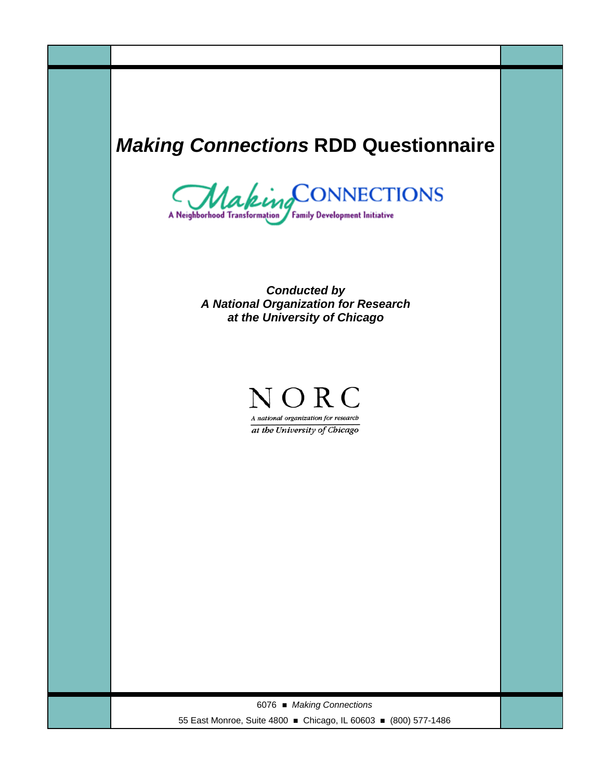## *Making Connections* **RDD Questionnaire**



*Conducted by A National Organization for Research at the University of Chicago*



6076 *Making Connections* 55 East Monroe, Suite 4800 · Chicago, IL 60603 · (800) 577-1486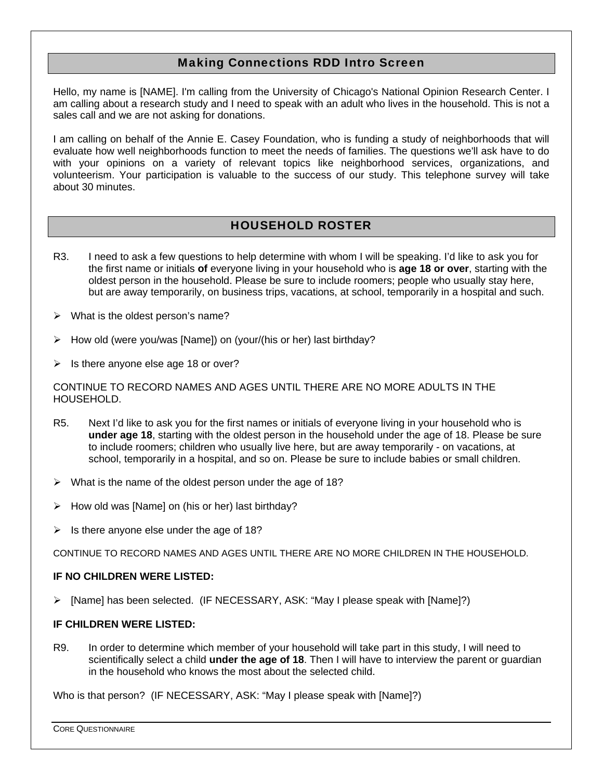#### Making Connections RDD Intro Screen

Hello, my name is [NAME]. I'm calling from the University of Chicago's National Opinion Research Center. I am calling about a research study and I need to speak with an adult who lives in the household. This is not a sales call and we are not asking for donations.

I am calling on behalf of the Annie E. Casey Foundation, who is funding a study of neighborhoods that will evaluate how well neighborhoods function to meet the needs of families. The questions we'll ask have to do with your opinions on a variety of relevant topics like neighborhood services, organizations, and volunteerism. Your participation is valuable to the success of our study. This telephone survey will take about 30 minutes.

#### HOUSEHOLD ROSTER

- R3. I need to ask a few questions to help determine with whom I will be speaking. I'd like to ask you for the first name or initials **of** everyone living in your household who is **age 18 or over**, starting with the oldest person in the household. Please be sure to include roomers; people who usually stay here, but are away temporarily, on business trips, vacations, at school, temporarily in a hospital and such.
- $\triangleright$  What is the oldest person's name?
- $\triangleright$  How old (were you/was [Name]) on (your/(his or her) last birthday?
- $\triangleright$  Is there anyone else age 18 or over?

CONTINUE TO RECORD NAMES AND AGES UNTIL THERE ARE NO MORE ADULTS IN THE HOUSEHOLD.

- R5. Next I'd like to ask you for the first names or initials of everyone living in your household who is **under age 18**, starting with the oldest person in the household under the age of 18. Please be sure to include roomers; children who usually live here, but are away temporarily - on vacations, at school, temporarily in a hospital, and so on. Please be sure to include babies or small children.
- $\triangleright$  What is the name of the oldest person under the age of 18?
- $\triangleright$  How old was [Name] on (his or her) last birthday?
- $\triangleright$  Is there anyone else under the age of 18?

CONTINUE TO RECORD NAMES AND AGES UNTIL THERE ARE NO MORE CHILDREN IN THE HOUSEHOLD.

#### **IF NO CHILDREN WERE LISTED:**

¾ [Name] has been selected. (IF NECESSARY, ASK: "May I please speak with [Name]?)

#### **IF CHILDREN WERE LISTED:**

R9. In order to determine which member of your household will take part in this study, I will need to scientifically select a child **under the age of 18**. Then I will have to interview the parent or guardian in the household who knows the most about the selected child.

Who is that person? (IF NECESSARY, ASK: "May I please speak with [Name]?)

CORE QUESTIONNAIRE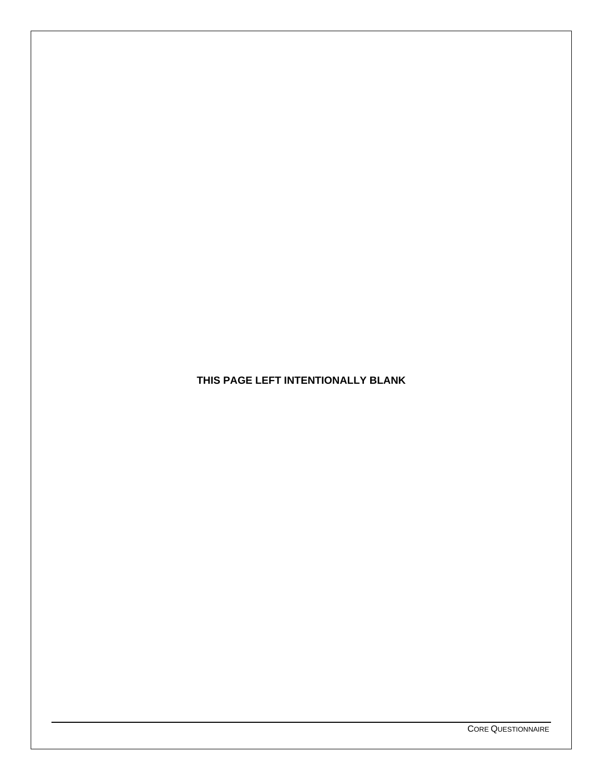#### **THIS PAGE LEFT INTENTIONALLY BLANK**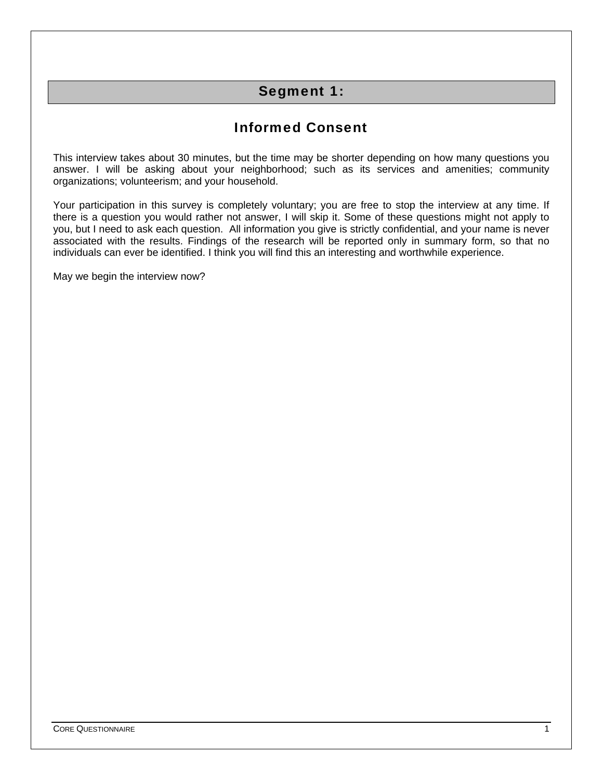## Segment 1:

## Informed Consent

This interview takes about 30 minutes, but the time may be shorter depending on how many questions you answer. I will be asking about your neighborhood; such as its services and amenities; community organizations; volunteerism; and your household.

Your participation in this survey is completely voluntary; you are free to stop the interview at any time. If there is a question you would rather not answer, I will skip it. Some of these questions might not apply to you, but I need to ask each question. All information you give is strictly confidential, and your name is never associated with the results. Findings of the research will be reported only in summary form, so that no individuals can ever be identified. I think you will find this an interesting and worthwhile experience.

May we begin the interview now?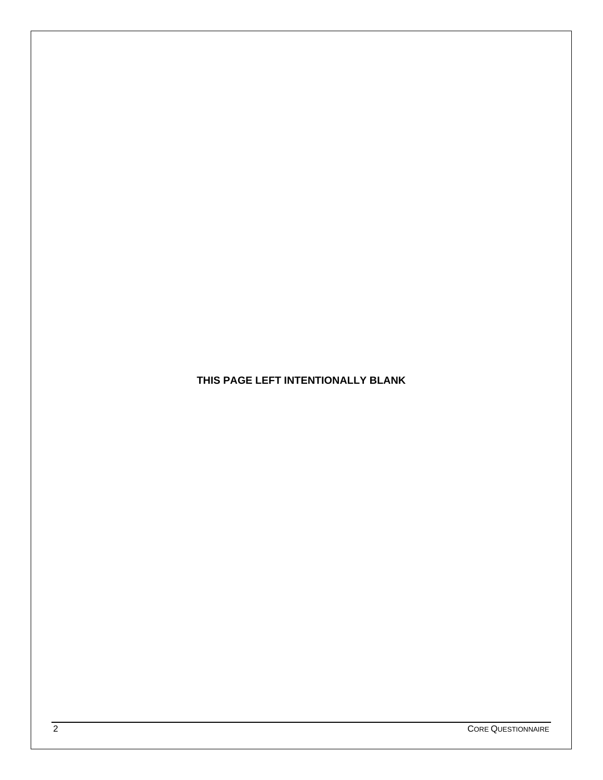#### **THIS PAGE LEFT INTENTIONALLY BLANK**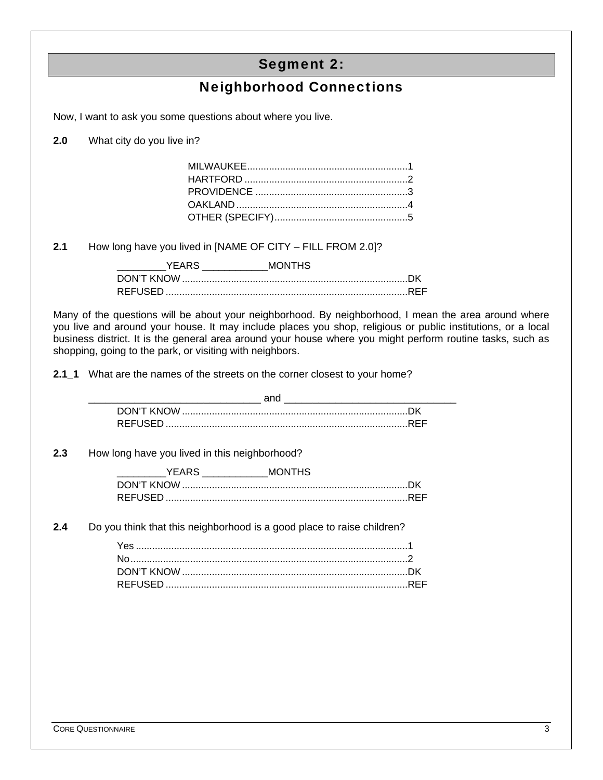## Segment 2:

#### Neighborhood Connections

Now, I want to ask you some questions about where you live.

**2.0** What city do you live in?

**2.1** How long have you lived in [NAME OF CITY – FILL FROM 2.0]?

| REFUSED |  |
|---------|--|

Many of the questions will be about your neighborhood. By neighborhood, I mean the area around where you live and around your house. It may include places you shop, religious or public institutions, or a local business district. It is the general area around your house where you might perform routine tasks, such as shopping, going to the park, or visiting with neighbors.

**2.1\_1** What are the names of the streets on the corner closest to your home?

**2.3** How long have you lived in this neighborhood?

| <b>YFARS</b> | <b>MONTHS</b> |  |
|--------------|---------------|--|
|              |               |  |
|              |               |  |

**2.4** Do you think that this neighborhood is a good place to raise children?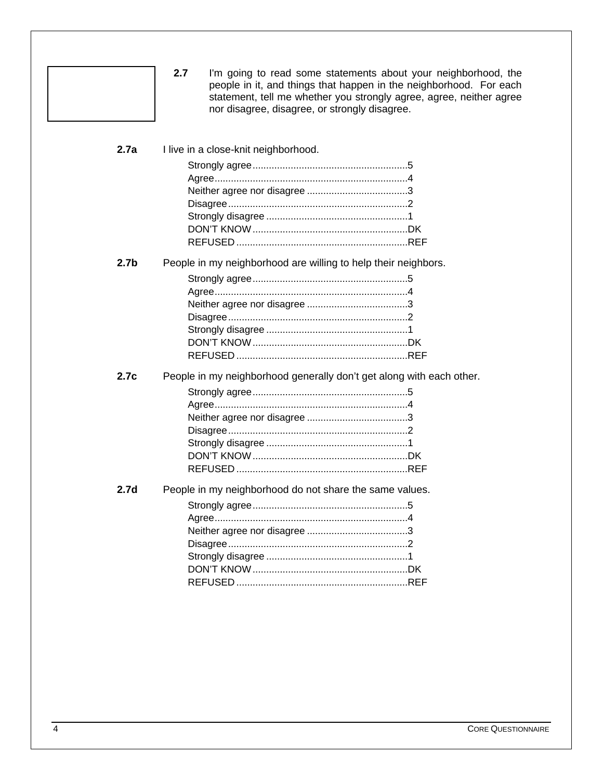|                  | 2.7<br>I'm going to read some statements about your neighborhood, the<br>people in it, and things that happen in the neighborhood. For each<br>statement, tell me whether you strongly agree, agree, neither agree<br>nor disagree, disagree, or strongly disagree. |
|------------------|---------------------------------------------------------------------------------------------------------------------------------------------------------------------------------------------------------------------------------------------------------------------|
|                  |                                                                                                                                                                                                                                                                     |
| 2.7a             | I live in a close-knit neighborhood.                                                                                                                                                                                                                                |
|                  |                                                                                                                                                                                                                                                                     |
|                  |                                                                                                                                                                                                                                                                     |
|                  |                                                                                                                                                                                                                                                                     |
|                  |                                                                                                                                                                                                                                                                     |
|                  |                                                                                                                                                                                                                                                                     |
|                  |                                                                                                                                                                                                                                                                     |
| 2.7 <sub>b</sub> | People in my neighborhood are willing to help their neighbors.                                                                                                                                                                                                      |
|                  |                                                                                                                                                                                                                                                                     |
|                  |                                                                                                                                                                                                                                                                     |
|                  |                                                                                                                                                                                                                                                                     |
|                  |                                                                                                                                                                                                                                                                     |
|                  |                                                                                                                                                                                                                                                                     |
|                  |                                                                                                                                                                                                                                                                     |
| 2.7c             | People in my neighborhood generally don't get along with each other.                                                                                                                                                                                                |
|                  |                                                                                                                                                                                                                                                                     |
|                  |                                                                                                                                                                                                                                                                     |
|                  |                                                                                                                                                                                                                                                                     |
|                  |                                                                                                                                                                                                                                                                     |
|                  |                                                                                                                                                                                                                                                                     |
|                  |                                                                                                                                                                                                                                                                     |
| 2.7d             | People in my neighborhood do not share the same values.                                                                                                                                                                                                             |
|                  |                                                                                                                                                                                                                                                                     |
|                  |                                                                                                                                                                                                                                                                     |
|                  |                                                                                                                                                                                                                                                                     |
|                  |                                                                                                                                                                                                                                                                     |
|                  |                                                                                                                                                                                                                                                                     |
|                  |                                                                                                                                                                                                                                                                     |
|                  |                                                                                                                                                                                                                                                                     |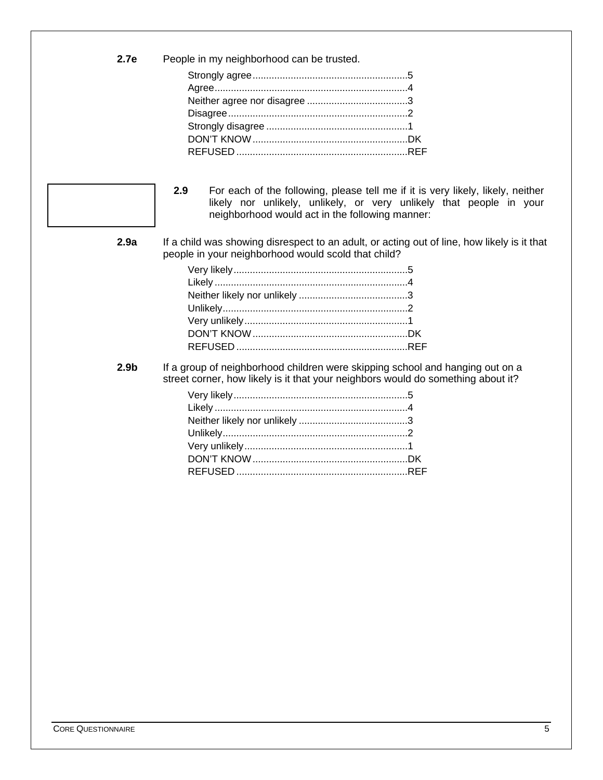| 2.7e             | People in my neighborhood can be trusted.                                                                                                                                                                        |
|------------------|------------------------------------------------------------------------------------------------------------------------------------------------------------------------------------------------------------------|
|                  | 2.9<br>For each of the following, please tell me if it is very likely, likely, neither<br>likely nor unlikely, unlikely, or very unlikely that people in your<br>neighborhood would act in the following manner: |
| 2.9a             | If a child was showing disrespect to an adult, or acting out of line, how likely is it that<br>people in your neighborhood would scold that child?                                                               |
| 2.9 <sub>b</sub> | If a group of neighborhood children were skipping school and hanging out on a<br>street corner, how likely is it that your neighbors would do something about it?                                                |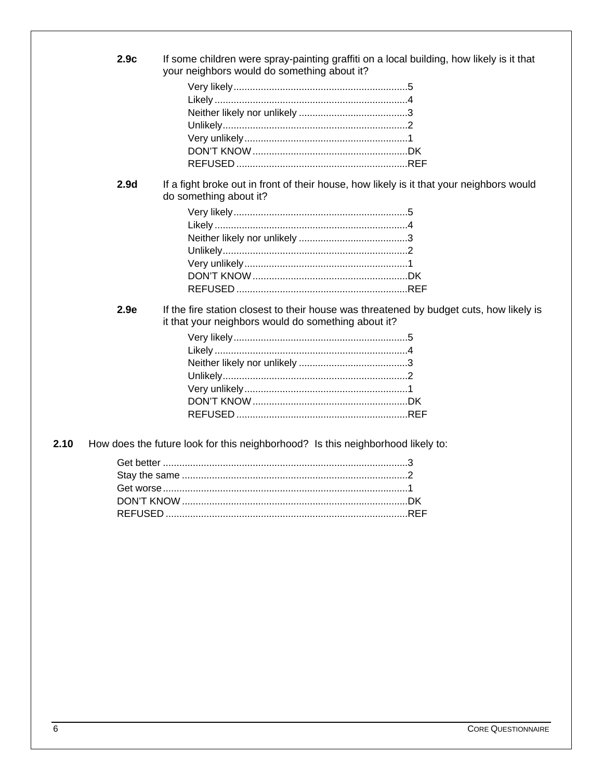|      | 2.9c             | your neighbors would do something about it?                                                                                                                                                                                                                                    | If some children were spray-painting graffiti on a local building, how likely is it that |
|------|------------------|--------------------------------------------------------------------------------------------------------------------------------------------------------------------------------------------------------------------------------------------------------------------------------|------------------------------------------------------------------------------------------|
|      |                  |                                                                                                                                                                                                                                                                                |                                                                                          |
|      |                  |                                                                                                                                                                                                                                                                                |                                                                                          |
|      |                  |                                                                                                                                                                                                                                                                                |                                                                                          |
|      |                  |                                                                                                                                                                                                                                                                                |                                                                                          |
|      |                  |                                                                                                                                                                                                                                                                                |                                                                                          |
|      |                  |                                                                                                                                                                                                                                                                                |                                                                                          |
|      |                  |                                                                                                                                                                                                                                                                                |                                                                                          |
|      |                  |                                                                                                                                                                                                                                                                                |                                                                                          |
|      | 2.9 <sub>d</sub> | do something about it?                                                                                                                                                                                                                                                         | If a fight broke out in front of their house, how likely is it that your neighbors would |
|      |                  |                                                                                                                                                                                                                                                                                |                                                                                          |
|      |                  |                                                                                                                                                                                                                                                                                |                                                                                          |
|      |                  |                                                                                                                                                                                                                                                                                |                                                                                          |
|      |                  |                                                                                                                                                                                                                                                                                |                                                                                          |
|      |                  |                                                                                                                                                                                                                                                                                |                                                                                          |
|      |                  |                                                                                                                                                                                                                                                                                |                                                                                          |
|      |                  |                                                                                                                                                                                                                                                                                |                                                                                          |
|      | 2.9e             | it that your neighbors would do something about it?                                                                                                                                                                                                                            | If the fire station closest to their house was threatened by budget cuts, how likely is  |
| 2.10 |                  | How does the future look for this neighborhood? Is this neighborhood likely to:                                                                                                                                                                                                |                                                                                          |
|      |                  |                                                                                                                                                                                                                                                                                |                                                                                          |
|      | Get worse        | $\sim$ 100 $\sim$ 100 $\sim$ 100 $\sim$ 100 $\sim$ 100 $\sim$ 100 $\sim$ 100 $\sim$ 100 $\sim$ 100 $\sim$ 100 $\sim$ 100 $\sim$ 100 $\sim$ 100 $\sim$ 100 $\sim$ 100 $\sim$ 100 $\sim$ 100 $\sim$ 100 $\sim$ 100 $\sim$ 100 $\sim$ 100 $\sim$ 100 $\sim$ 100 $\sim$ 100 $\sim$ |                                                                                          |
|      |                  |                                                                                                                                                                                                                                                                                |                                                                                          |
|      |                  |                                                                                                                                                                                                                                                                                |                                                                                          |
|      |                  |                                                                                                                                                                                                                                                                                |                                                                                          |
|      |                  |                                                                                                                                                                                                                                                                                |                                                                                          |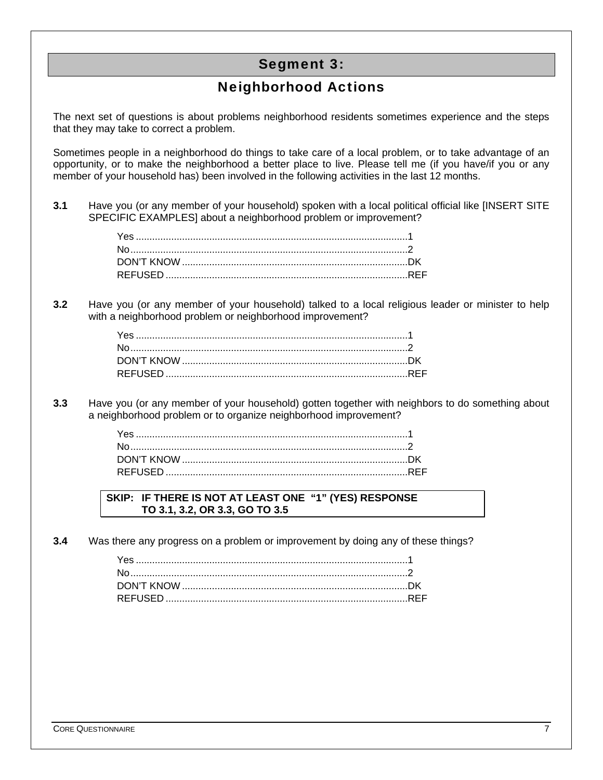## Segment 3:

## Neighborhood Actions

The next set of questions is about problems neighborhood residents sometimes experience and the steps that they may take to correct a problem.

Sometimes people in a neighborhood do things to take care of a local problem, or to take advantage of an opportunity, or to make the neighborhood a better place to live. Please tell me (if you have/if you or any member of your household has) been involved in the following activities in the last 12 months.

**3.1** Have you (or any member of your household) spoken with a local political official like [INSERT SITE SPECIFIC EXAMPLES] about a neighborhood problem or improvement?

**3.2** Have you (or any member of your household) talked to a local religious leader or minister to help with a neighborhood problem or neighborhood improvement?

**3.3** Have you (or any member of your household) gotten together with neighbors to do something about a neighborhood problem or to organize neighborhood improvement?

#### **SKIP: IF THERE IS NOT AT LEAST ONE "1" (YES) RESPONSE TO 3.1, 3.2, OR 3.3, GO TO 3.5**

**3.4** Was there any progress on a problem or improvement by doing any of these things?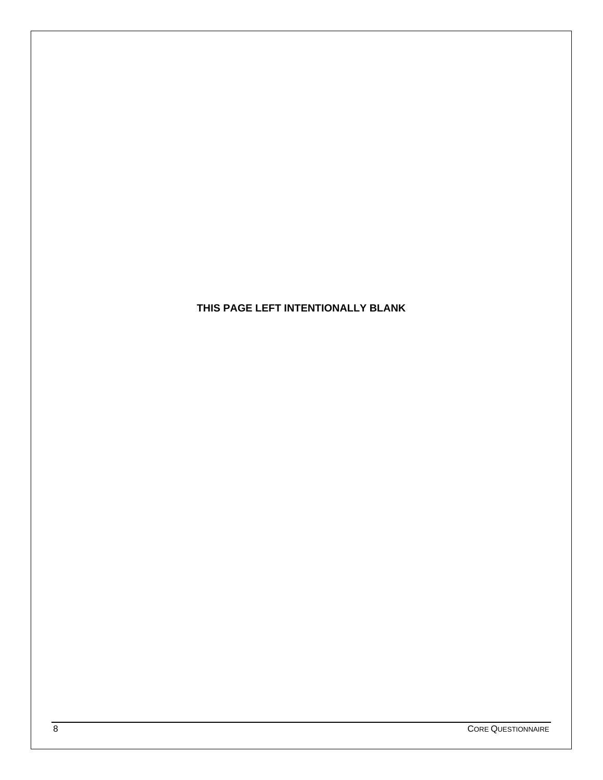#### **THIS PAGE LEFT INTENTIONALLY BLANK**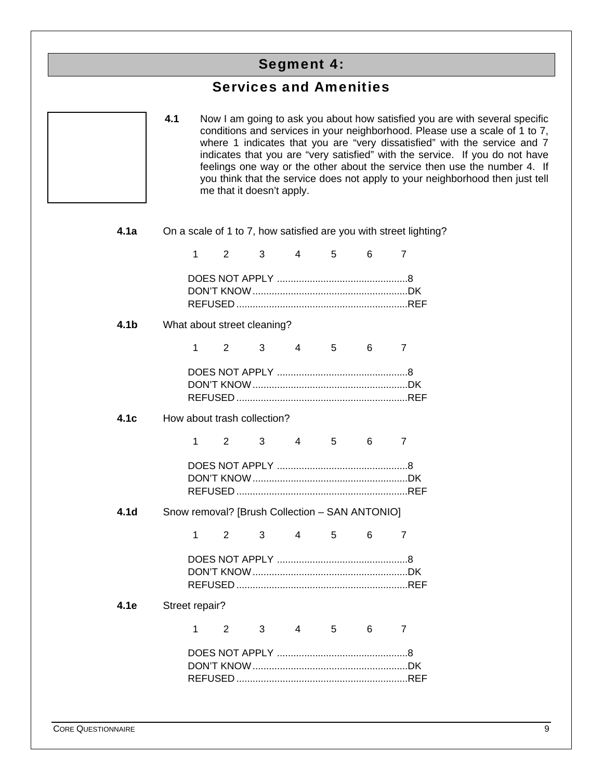|                               |                |                                                |             | <b>Segment 4:</b>     |     |   |                                                                   |                                                                                                                                                                                                                                                                                                                                                                                                                                                                                       |
|-------------------------------|----------------|------------------------------------------------|-------------|-----------------------|-----|---|-------------------------------------------------------------------|---------------------------------------------------------------------------------------------------------------------------------------------------------------------------------------------------------------------------------------------------------------------------------------------------------------------------------------------------------------------------------------------------------------------------------------------------------------------------------------|
| <b>Services and Amenities</b> |                |                                                |             |                       |     |   |                                                                   |                                                                                                                                                                                                                                                                                                                                                                                                                                                                                       |
|                               | 4.1            | me that it doesn't apply.                      |             |                       |     |   |                                                                   | Now I am going to ask you about how satisfied you are with several specific<br>conditions and services in your neighborhood. Please use a scale of 1 to 7,<br>where 1 indicates that you are "very dissatisfied" with the service and 7<br>indicates that you are "very satisfied" with the service. If you do not have<br>feelings one way or the other about the service then use the number 4. If<br>you think that the service does not apply to your neighborhood then just tell |
| 4.1a                          |                |                                                |             |                       |     |   | On a scale of 1 to 7, how satisfied are you with street lighting? |                                                                                                                                                                                                                                                                                                                                                                                                                                                                                       |
|                               | $\mathbf{1}$   | 2                                              | $3^{\circ}$ |                       | 4 5 | 6 | 7                                                                 |                                                                                                                                                                                                                                                                                                                                                                                                                                                                                       |
|                               |                |                                                |             |                       |     |   |                                                                   |                                                                                                                                                                                                                                                                                                                                                                                                                                                                                       |
| 4.1 <sub>b</sub>              |                | What about street cleaning?                    |             |                       |     |   |                                                                   |                                                                                                                                                                                                                                                                                                                                                                                                                                                                                       |
|                               | 1              | $\overline{2}$                                 |             | $3 \qquad 4 \qquad 5$ |     | 6 | 7                                                                 |                                                                                                                                                                                                                                                                                                                                                                                                                                                                                       |
|                               |                |                                                |             |                       |     |   |                                                                   |                                                                                                                                                                                                                                                                                                                                                                                                                                                                                       |
| 4.1c                          |                | How about trash collection?                    |             |                       |     |   |                                                                   |                                                                                                                                                                                                                                                                                                                                                                                                                                                                                       |
|                               | 1              | $\overline{2}$                                 |             | $3 \qquad 4 \qquad 5$ |     | 6 | 7                                                                 |                                                                                                                                                                                                                                                                                                                                                                                                                                                                                       |
|                               |                |                                                |             |                       |     |   |                                                                   |                                                                                                                                                                                                                                                                                                                                                                                                                                                                                       |
| 4.1d                          |                | Snow removal? [Brush Collection - SAN ANTONIO] |             |                       |     |   |                                                                   |                                                                                                                                                                                                                                                                                                                                                                                                                                                                                       |
|                               | 1              | 2                                              | 3           | 4                     | 5   | 6 | 7                                                                 |                                                                                                                                                                                                                                                                                                                                                                                                                                                                                       |
|                               |                |                                                |             |                       |     |   |                                                                   |                                                                                                                                                                                                                                                                                                                                                                                                                                                                                       |
| 4.1e                          | Street repair? |                                                |             |                       |     |   |                                                                   |                                                                                                                                                                                                                                                                                                                                                                                                                                                                                       |
|                               | 1              | $\overline{2}$                                 | 3           | $\overline{4}$        | 5   | 6 | 7                                                                 |                                                                                                                                                                                                                                                                                                                                                                                                                                                                                       |
|                               |                |                                                |             |                       |     |   |                                                                   |                                                                                                                                                                                                                                                                                                                                                                                                                                                                                       |
|                               |                |                                                |             |                       |     |   |                                                                   |                                                                                                                                                                                                                                                                                                                                                                                                                                                                                       |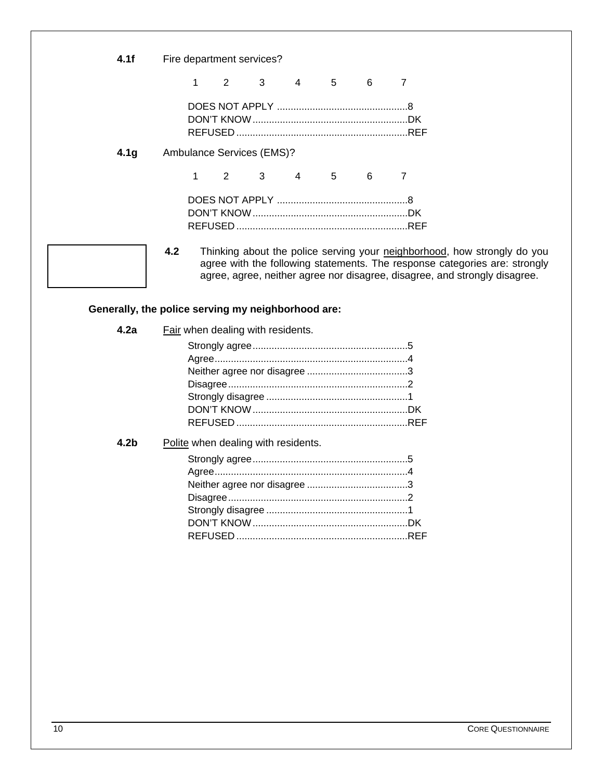**4.1f** Fire department services? 1 2 3 4 5 6 7 DOES NOT APPLY ................................................8 DON'T KNOW .........................................................DK REFUSED ...............................................................REF **4.1g** Ambulance Services (EMS)? 1 2 3 4 5 6 7 DOES NOT APPLY ................................................8 DON'T KNOW .........................................................DK REFUSED ...............................................................REF **4.2** Thinking about the police serving your neighborhood, how strongly do you agree with the following statements. The response categories are: strongly agree, agree, neither agree nor disagree, disagree, and strongly disagree. **Generally, the police serving my neighborhood are: 4.2a** Fair when dealing with residents. Strongly agree .........................................................5 Agree .......................................................................4 Neither agree nor disagree .....................................3 Disagree ..................................................................2 Strongly disagree ....................................................1 DON'T KNOW .........................................................DK REFUSED ...............................................................REF **4.2b** Polite when dealing with residents. Strongly agree .........................................................5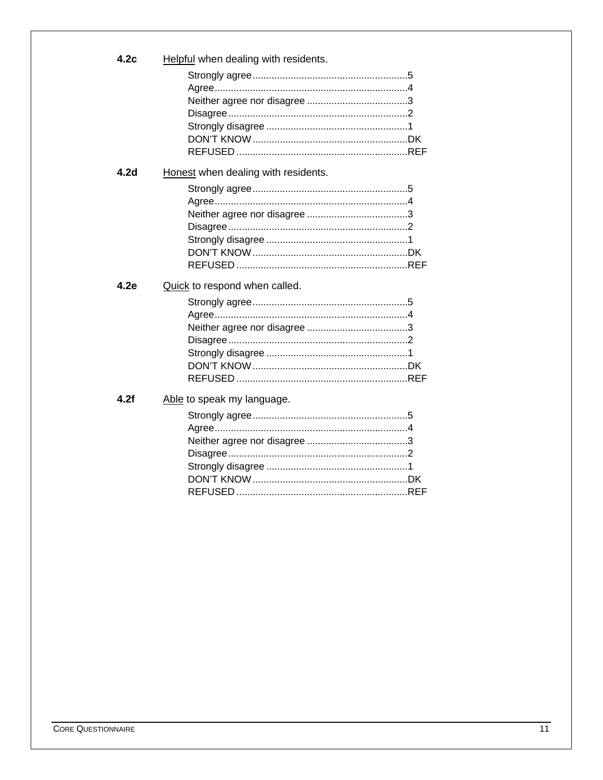| 4.2c             | Helpful when dealing with residents. |  |
|------------------|--------------------------------------|--|
|                  |                                      |  |
|                  |                                      |  |
|                  |                                      |  |
|                  |                                      |  |
|                  |                                      |  |
|                  |                                      |  |
|                  |                                      |  |
| 4.2 <sub>d</sub> | Honest when dealing with residents.  |  |
|                  |                                      |  |
|                  |                                      |  |
|                  |                                      |  |
|                  |                                      |  |
|                  |                                      |  |
|                  |                                      |  |
|                  |                                      |  |
| 4.2e             | Quick to respond when called.        |  |
|                  |                                      |  |
|                  |                                      |  |
|                  |                                      |  |
|                  |                                      |  |
|                  |                                      |  |
|                  |                                      |  |
|                  |                                      |  |
| 4.2f             | Able to speak my language.           |  |
|                  |                                      |  |
|                  |                                      |  |
|                  |                                      |  |
|                  |                                      |  |
|                  |                                      |  |
|                  |                                      |  |
|                  |                                      |  |
|                  |                                      |  |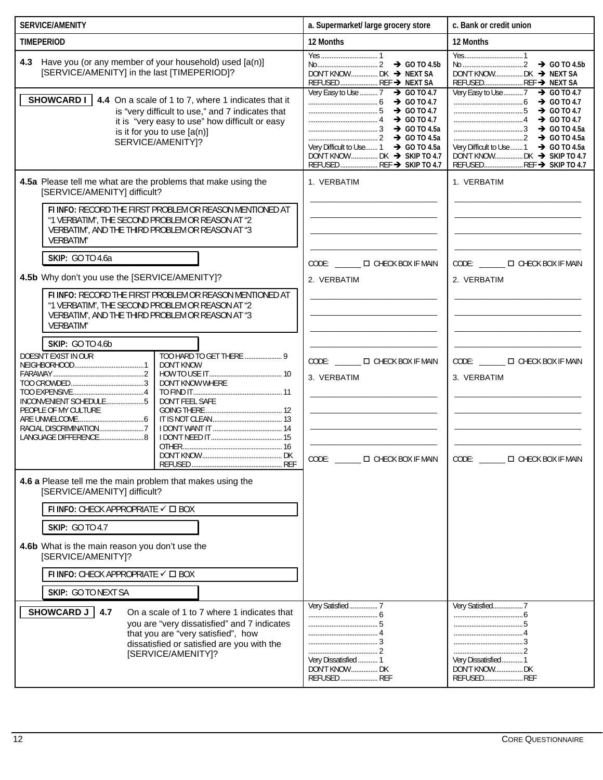| <b>SERVICE/AMENITY</b>                                                                                                                                                                                                        | a. Supermarket/ large grocery store                                                                                                                                                                                                                         | c. Bank or credit union                                                                                                                                                                                             |
|-------------------------------------------------------------------------------------------------------------------------------------------------------------------------------------------------------------------------------|-------------------------------------------------------------------------------------------------------------------------------------------------------------------------------------------------------------------------------------------------------------|---------------------------------------------------------------------------------------------------------------------------------------------------------------------------------------------------------------------|
| <b>TIMEPERIOD</b>                                                                                                                                                                                                             | 12 Months                                                                                                                                                                                                                                                   | 12 Months                                                                                                                                                                                                           |
| 4.3 Have you (or any member of your household) used [a(n)]<br>[SERVICE/AMENITY] in the last [TIMEPERIOD]?                                                                                                                     | DON'T KNOW  DK → NEXT SA<br>REFUSED  REF → NEXT SA                                                                                                                                                                                                          | $Yes.$ 7es<br>DON'T KNOWDK → NEXT SA<br>REFUSEDREF → NEXT SA                                                                                                                                                        |
| SHOWCARD I<br>4.4 On a scale of 1 to 7, where 1 indicates that it<br>is "very difficult to use," and 7 indicates that<br>it is "very easy to use" how difficult or easy<br>is it for you to use $[a(n)]$<br>SERVICE/AMENITY]? | Very Easy to Use  7 → GO TO 4.7<br>$\cdots$ GO TO 4.7<br>$\frac{1}{2}$ GO TO 4.7<br>$\ldots$ GO TO 4.7<br>$\ldots$ GO TO 4.5a<br>$\ldots$ GO TO 4.5a<br>Very Difficult to Use  1 → GO TO 4.5a<br>DON'T KNOW  DK → SKIP TO 4.7<br>REFUSED  REF → SKIP TO 4.7 | Very Easy to Use 7 → GO TO 4.7<br>$\ldots$ GO TO 4.7<br>$\cdots$ GO TO 4.7<br>$\ldots$ GO TO 4.7<br>$\ldots$ GO TO 4.5a<br>$\ldots$ GO TO 4.5a<br>Very Difficult to Use  1 → GO TO 4.5a<br>REFUSEDREF → SKIP TO 4.7 |
| 4.5a Please tell me what are the problems that make using the<br>[SERVICE/AMENITY] difficult?                                                                                                                                 | 1. VERBATIM                                                                                                                                                                                                                                                 | 1. VERBATIM                                                                                                                                                                                                         |
| FI INFO: RECORD THE FIRST PROBLEM OR REASON MENTIONED AT<br>"1 VERBATIM", THE SECOND PROBLEM OR REASON AT "2<br>VERBATIM", AND THE THIRD PROBLEM OR REASON AT "3<br><b>VERBATIM"</b>                                          |                                                                                                                                                                                                                                                             |                                                                                                                                                                                                                     |
| SKIP: GO TO 4.6a                                                                                                                                                                                                              | CODE: ______ O CHECK BOX IF MAIN                                                                                                                                                                                                                            | CODE: _______ O CHECK BOX IF MAIN                                                                                                                                                                                   |
| 4.5b Why don't you use the [SERVICE/AMENITY]?                                                                                                                                                                                 | 2. VERBATIM                                                                                                                                                                                                                                                 | 2. VERBATIM                                                                                                                                                                                                         |
| FI INFO: RECORD THE FIRST PROBLEM OR REASON MENTIONED AT<br>"1 VERBATIM", THE SECOND PROBLEM OR REASON AT "2<br>VERBATIM", AND THE THIRD PROBLEM OR REASON AT "3<br>VERBATIM"                                                 |                                                                                                                                                                                                                                                             |                                                                                                                                                                                                                     |
| <b>SKIP: GO TO 4.6b</b><br>DOESN'T EXIST IN OUR<br>TOO HARD TO GET THERE  9<br>DON'T KNOW<br>DON'T KNOW WHERE<br>INCONVENIENT SCHEDULE5<br>DON'T FEEL SAFE<br>PEOPLE OF MY CULTURE<br>LANGUAGE DIFFERENCE8                    | CODE: $\Box$ CHECK BOX IF MAIN<br>3. VERBATIM                                                                                                                                                                                                               | CODE: _______ O CHECK BOX IF MAIN<br>3. VERBATIM                                                                                                                                                                    |
|                                                                                                                                                                                                                               | $\Box$ CHECK BOX IF MAIN                                                                                                                                                                                                                                    |                                                                                                                                                                                                                     |
| 4.6 a Please tell me the main problem that makes using the<br>[SERVICE/AMENITY] difficult?                                                                                                                                    |                                                                                                                                                                                                                                                             |                                                                                                                                                                                                                     |
| FI INFO: CHECK APPROPRIATE √ □ BOX                                                                                                                                                                                            |                                                                                                                                                                                                                                                             |                                                                                                                                                                                                                     |
| <b>SKIP: GO TO 4.7</b>                                                                                                                                                                                                        |                                                                                                                                                                                                                                                             |                                                                                                                                                                                                                     |
| 4.6b What is the main reason you don't use the<br>[SERVICE/AMENITY]?                                                                                                                                                          |                                                                                                                                                                                                                                                             |                                                                                                                                                                                                                     |
| FI INFO: CHECK APPROPRIATE √ □ BOX                                                                                                                                                                                            |                                                                                                                                                                                                                                                             |                                                                                                                                                                                                                     |
| SKIP: GO TO NEXT SA                                                                                                                                                                                                           |                                                                                                                                                                                                                                                             |                                                                                                                                                                                                                     |
| SHOWCARD J 4.7<br>On a scale of 1 to 7 where 1 indicates that<br>you are "very dissatisfied" and 7 indicates<br>that you are "very satisfied", how<br>dissatisfied or satisfied are you with the<br>[SERVICE/AMENITY]?        | Very Satisfied  7<br>Very Dissatisfied  1<br>DON'T KNOW  DK<br>REFUSED  REF                                                                                                                                                                                 | Very Satisfied7<br>Very Dissatisfied1<br>DON'T KNOWDK<br>REFUSEDREF                                                                                                                                                 |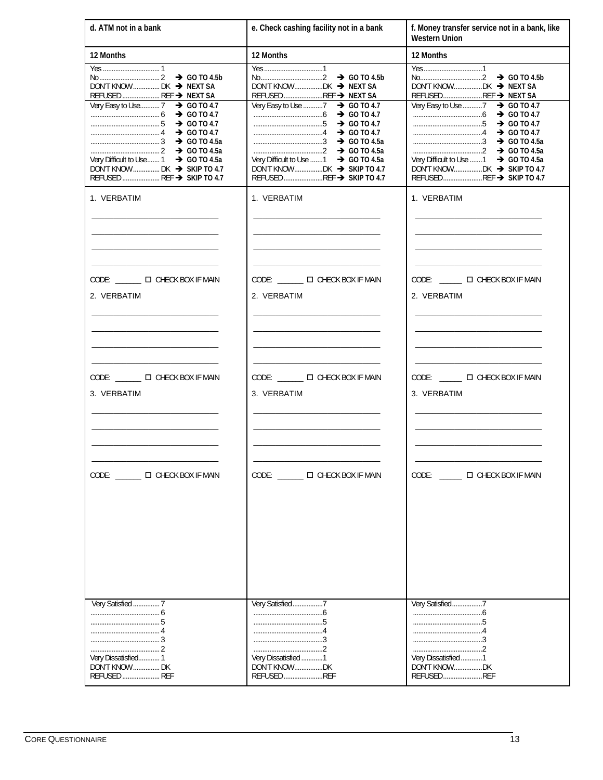| d. ATM not in a bank                                                                                                                                                                                                                                                                                                                                                                                                                 | e. Check cashing facility not in a bank                                                                                                                                                                                                                | f. Money transfer service not in a bank, like<br><b>Western Union</b>                                                                                                                                                                                                                     |
|--------------------------------------------------------------------------------------------------------------------------------------------------------------------------------------------------------------------------------------------------------------------------------------------------------------------------------------------------------------------------------------------------------------------------------------|--------------------------------------------------------------------------------------------------------------------------------------------------------------------------------------------------------------------------------------------------------|-------------------------------------------------------------------------------------------------------------------------------------------------------------------------------------------------------------------------------------------------------------------------------------------|
| 12 Months                                                                                                                                                                                                                                                                                                                                                                                                                            | 12 Months                                                                                                                                                                                                                                              | 12 Months                                                                                                                                                                                                                                                                                 |
| DON'T KNOW  DK → NEXT SA<br>REFUSED  REF → NEXT SA<br>Very Easy to Use  7 → GO TO 4.7<br>$\begin{array}{ccccccccc}\n&\ddots&\dots&\dots&\dots&\dots&\dots&\dots&\dots&\dots&\dots&\dots&\dots&\dots&\dots\end{array}$<br>$\rightarrow$ GO TO 4.7<br>$\rightarrow$ GO TO 4.7<br>$\frac{1}{2}$ GO TO 4.7<br>$\ldots$ GO TO 4.5a<br>Very Difficult to Use  1 → GO TO 4.5a<br>DON'T KNOW  DK → SKIP TO 4.7<br>REFUSED  REF → SKIP TO 4.7 | $\rightarrow$ GO TO 4.5b<br>DON'T KNOW DK → NEXT SA<br>REFUSED REF → NEXT SA<br>Very Easy to Use 7 → GO TO 4.7<br>$\ldots$ GO TO 4.7<br>$\cdots$ GO TO 4.7<br>$\ldots$ GO TO 4.5a<br>Very Difficult to Use 1 → GO TO 4.5a<br>REFUSED REF → SKIP TO 4.7 | DON'T KNOW DK → NEXT SA<br>REFUSED REF → NEXT SA<br>Very Easy to Use 7 → GO TO 4.7<br>$\rightarrow$ GO TO 4.7<br>$\frac{1}{2}$ GO TO 4.7<br>$\cdots$ GO TO 4.7<br>$\ldots$ GO TO 4.5a<br>Very Difficult to Use 1 → GO TO 4.5a<br>DON'T KNOW DK → SKIP TO 4.7<br>REFUSED REF → SKIP TO 4.7 |
| 1. VERBATIM                                                                                                                                                                                                                                                                                                                                                                                                                          | 1. VERBATIM                                                                                                                                                                                                                                            | 1. VERBATIM                                                                                                                                                                                                                                                                               |
| CODE: _______ O CHECK BOX IF MAIN<br>2. VERBATIM                                                                                                                                                                                                                                                                                                                                                                                     | CODE: ______ O CHECK BOX IF MAIN<br>2. VERBATIM                                                                                                                                                                                                        | CODE: ______ O CHECK BOX IF MAIN<br>2. VERBATIM                                                                                                                                                                                                                                           |
| CODE: ______ <b>O</b> CHECK BOX IF MAIN<br>3. VERBATIM                                                                                                                                                                                                                                                                                                                                                                               | CODE: ________ O CHECK BOX IF MAIN<br>3. VERBATIM                                                                                                                                                                                                      | CODE: ______ O CHECK BOX IF MAIN<br>3. VERBATIM                                                                                                                                                                                                                                           |
| $\Box$ CHECK BOX IF MAIN                                                                                                                                                                                                                                                                                                                                                                                                             | CODE: $\Box$ CHECK BOX IF MAIN                                                                                                                                                                                                                         | CODE: $\Box$ CHECK BOX IF MAIN                                                                                                                                                                                                                                                            |
| Very Satisfied  7<br>Very Dissatisfied 1<br>DON'T KNOW  DK<br>REFUSED  REF                                                                                                                                                                                                                                                                                                                                                           | Very Satisfied 7<br>Very Dissatisfied 1<br>DON'T KNOW DK<br>REFUSED REF                                                                                                                                                                                | Very Satisfied7<br>Very Dissatisfied 1<br>DON'T KNOW DK<br>REFUSEDREF                                                                                                                                                                                                                     |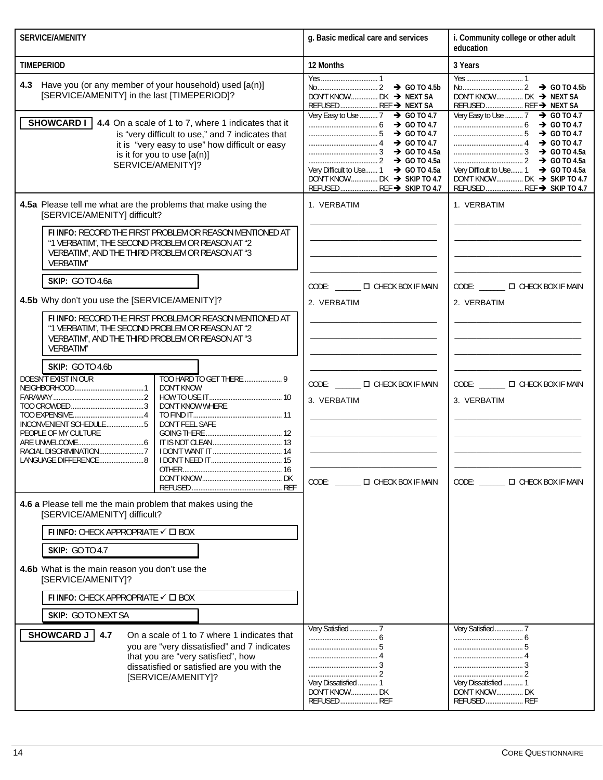| SERVICE/AMENITY                                                                                                                                                                                                               | g. Basic medical care and services                                                                                                                                                                                                       | i. Community college or other adult<br>education                                                                                                                                                       |
|-------------------------------------------------------------------------------------------------------------------------------------------------------------------------------------------------------------------------------|------------------------------------------------------------------------------------------------------------------------------------------------------------------------------------------------------------------------------------------|--------------------------------------------------------------------------------------------------------------------------------------------------------------------------------------------------------|
| <b>TIMEPERIOD</b>                                                                                                                                                                                                             | 12 Months                                                                                                                                                                                                                                | 3 Years                                                                                                                                                                                                |
| Have you (or any member of your household) used [a(n)]<br>4.3<br>[SERVICE/AMENITY] in the last [TIMEPERIOD]?                                                                                                                  | No  6. $\ldots$ 2 $\rightarrow$ GO TO 4.5b<br>DON'T KNOW  DK → NEXT SA<br>REFUSED  REF → NEXT SA<br>Very Easy to Use  7<br>$\rightarrow$ GO TO 4.7                                                                                       | DON'T KNOW  DK → NEXT SA<br>REFUSED  REF → NEXT SA<br>Very Easy to Use  7<br>$\rightarrow$ GO TO 4.7                                                                                                   |
| SHOWCARD I<br>4.4 On a scale of 1 to 7, where 1 indicates that it<br>is "very difficult to use," and 7 indicates that<br>it is "very easy to use" how difficult or easy<br>is it for you to use $[a(n)]$<br>SERVICE/AMENITY]? | $\cdots$ 6 $\rightarrow$ GO TO 4.7<br>$\rightarrow$ GO TO 4.7<br>$\cdots$ GO TO 4.7<br>$\ldots$ GO TO 4.5a<br>$\ldots$ GO TO 4.5a<br>Very Difficult to Use  1 → GO TO 4.5a<br>DON'T KNOW  DK → SKIP TO 4.7<br>REFUSED  REF → SKIP TO 4.7 | $\rightarrow$ GO TO 4.7<br>$\rightarrow$ GO TO 4.7<br>$\cdots$ GO TO 4.7<br>$\ldots$ GO TO 4.5a<br>Very Difficult to Use  1 → GO TO 4.5a<br>DON'T KNOW  DK → SKIP TO 4.7<br>REFUSED  REF → SKIP TO 4.7 |
| 4.5a Please tell me what are the problems that make using the<br>[SERVICE/AMENITY] difficult?                                                                                                                                 | 1. VERBATIM                                                                                                                                                                                                                              | 1. VERBATIM                                                                                                                                                                                            |
| FI INFO: RECORD THE FIRST PROBLEM OR REASON MENTIONED AT<br>"1 VERBATIM", THE SECOND PROBLEM OR REASON AT "2<br>VERBATIM", AND THE THIRD PROBLEM OR REASON AT "3<br><b>VERBATIM"</b>                                          |                                                                                                                                                                                                                                          |                                                                                                                                                                                                        |
| <b>SKIP: GO TO 4.6a</b><br>4.5b Why don't you use the [SERVICE/AMENITY]?                                                                                                                                                      | CODE: ______ O CHECK BOX IF MAIN<br>2. VERBATIM                                                                                                                                                                                          | CODE: _______ O CHECK BOX IF MAIN<br>2. VERBATIM                                                                                                                                                       |
| FI INFO: RECORD THE FIRST PROBLEM OR REASON MENTIONED AT<br>"1 VERBATIM", THE SECOND PROBLEM OR REASON AT "2<br>VERBATIM", AND THE THIRD PROBLEM OR REASON AT "3<br><b>VERBATIM"</b>                                          |                                                                                                                                                                                                                                          |                                                                                                                                                                                                        |
| <b>SKIP: GO TO 4.6b</b><br>DOESN'T EXIST IN OUR<br>TOO HARD TO GET THERE  9<br>DON'T KNOW<br>DON'T KNOW WHERE<br>INCONVENIENT SCHEDULE5<br>DON'T FEEL SAFE<br>PEOPLE OF MY CULTURE                                            | CODE: _____ O CHECK BOX IF MAIN<br>3. VERBATIM<br>$\Box$ CHECK BOX IF MAIN                                                                                                                                                               | CODE: _______ O CHECK BOX IF MAIN<br>3. VERBATIM<br>CODE: _______ O CHECK BOX IF MAIN                                                                                                                  |
| 4.6 a Please tell me the main problem that makes using the<br>[SERVICE/AMENITY] difficult?                                                                                                                                    |                                                                                                                                                                                                                                          |                                                                                                                                                                                                        |
| FI INFO: CHECK APPROPRIATE √ □ BOX                                                                                                                                                                                            |                                                                                                                                                                                                                                          |                                                                                                                                                                                                        |
| <b>SKIP: GO TO 4.7</b><br>4.6b What is the main reason you don't use the<br>[SERVICE/AMENITY]?                                                                                                                                |                                                                                                                                                                                                                                          |                                                                                                                                                                                                        |
| FI INFO: CHECK APPROPRIATE √ □ BOX                                                                                                                                                                                            |                                                                                                                                                                                                                                          |                                                                                                                                                                                                        |
| SKIP: GO TO NEXT SA                                                                                                                                                                                                           |                                                                                                                                                                                                                                          |                                                                                                                                                                                                        |
| SHOWCARD J 4.7<br>On a scale of 1 to 7 where 1 indicates that<br>you are "very dissatisfied" and 7 indicates<br>that you are "very satisfied", how<br>dissatisfied or satisfied are you with the<br>[SERVICE/AMENITY]?        | Very Satisfied  7<br>Very Dissatisfied  1<br>DON'T KNOW  DK<br>REFUSED  REF                                                                                                                                                              | Very Satisfied  7<br>Very Dissatisfied  1<br>DON'T KNOW  DK<br>REFUSED  REF                                                                                                                            |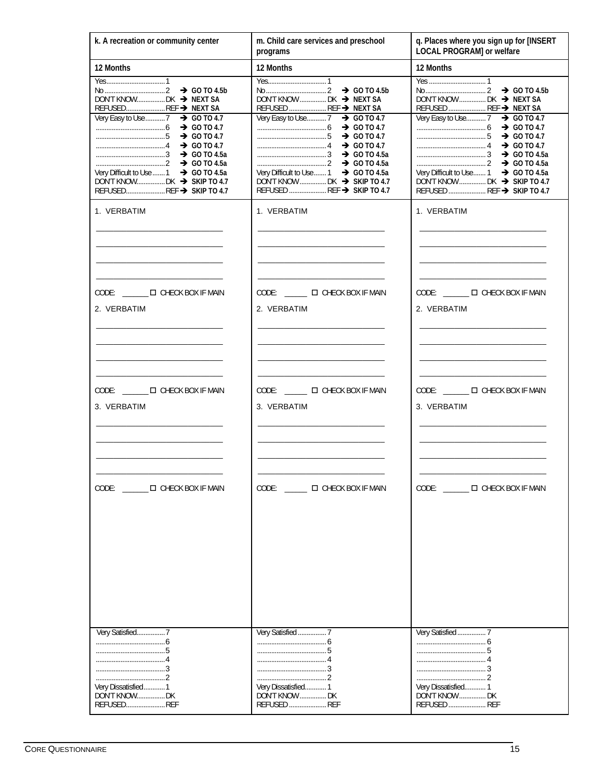| k. A recreation or community center                                                                                                                                                                                                                                                          | m. Child care services and preschool<br>programs                                                                                                                                                                                                                                                                                          | q. Places where you sign up for [INSERT<br><b>LOCAL PROGRAM</b> or welfare                                                                                                                                                                                                                                                                          |
|----------------------------------------------------------------------------------------------------------------------------------------------------------------------------------------------------------------------------------------------------------------------------------------------|-------------------------------------------------------------------------------------------------------------------------------------------------------------------------------------------------------------------------------------------------------------------------------------------------------------------------------------------|-----------------------------------------------------------------------------------------------------------------------------------------------------------------------------------------------------------------------------------------------------------------------------------------------------------------------------------------------------|
| 12 Months                                                                                                                                                                                                                                                                                    | 12 Months                                                                                                                                                                                                                                                                                                                                 | 12 Months                                                                                                                                                                                                                                                                                                                                           |
| No $\frac{1}{2}$ CO TO 4.5b<br>DON'T KNOWDK → NEXT SA<br>REFUSEDREF → NEXT SA<br>Very Easy to Use  7 → GO TO 4.7<br>$\rightarrow$ GO TO 4.7<br>$\rightarrow$ GO TO 4.7<br>$\rightarrow$ GO TO 4.7<br>$\ldots$ GO TO 4.5a<br>Very Difficult to Use 1 → GO TO 4.5a<br>REFUSEDREF → SKIP TO 4.7 | $\rightarrow$ GO TO 4.5b<br>DON'T KNOW  DK → NEXT SA<br>REFUSED  REF → NEXT SA<br>Very Easy to Use 7<br>$\rightarrow$ GO TO 4.7<br>$\rightarrow$ GO TO 4.7<br>$\rightarrow$ GO TO 4.7<br>$\ldots$ GO TO 4.7<br>$\ldots$ GO TO 4.5a<br>Very Difficult to Use  1 → GO TO 4.5a<br>DON'T KNOW  DK → SKIP TO 4.7<br>REFUSED  REF → SKIP TO 4.7 | DON'T KNOW  DK → NEXT SA<br>REFUSED  REF → NEXT SA<br>Very Easy to Use 7<br>$\rightarrow$ GO TO 4.7<br>$\rightarrow$ GO TO 4.7<br>$\rightarrow$ GO TO 4.7<br>$\rightarrow$ GO TO 4.7<br>$\rightarrow$ GO TO 4.5a<br>$\rightarrow$ GO TO 4.5a<br>Very Difficult to Use  1 → GO TO 4.5a<br>DON'T KNOW  DK → SKIP TO 4.7<br>REFUSED  REF → SKIP TO 4.7 |
| 1. VERBATIM                                                                                                                                                                                                                                                                                  | 1. VERBATIM                                                                                                                                                                                                                                                                                                                               | 1. VERBATIM                                                                                                                                                                                                                                                                                                                                         |
| CODE: _______ O CHECK BOX IF MAIN<br>2. VERBATIM<br>CODE: _______ O CHECK BOX IF MAIN<br>3. VERBATIM                                                                                                                                                                                         | CODE: <b>I</b> CHECK BOX IF MAIN<br>2. VERBATIM<br>CODE:<br>$\Box$ CHECK BOX IF MAIN<br>3. VERBATIM                                                                                                                                                                                                                                       | CODE: $\Box$ CHECK BOX IF MAIN<br>2. VERBATIM<br>CODE: ______ O CHECK BOX IF MAIN<br>3. VERBATIM                                                                                                                                                                                                                                                    |
| CODE: $\Box$ CHECK BOX IF MAIN                                                                                                                                                                                                                                                               | $\Box$ CHECK BOX IF MAIN                                                                                                                                                                                                                                                                                                                  | CODE: $\Box$ CHECK BOX IF MAIN                                                                                                                                                                                                                                                                                                                      |
| Very Satisfied7<br>Very Dissatisfied1<br>DON'T KNOWDK<br>REFUSEDREF                                                                                                                                                                                                                          | Very Satisfied  7<br>Very Dissatisfied 1<br>DON'T KNOW  DK<br>REFUSED  REF                                                                                                                                                                                                                                                                | Very Satisfied  7<br>Very Dissatisfied 1<br>DON'T KNOW  DK<br>REFUSED  REF                                                                                                                                                                                                                                                                          |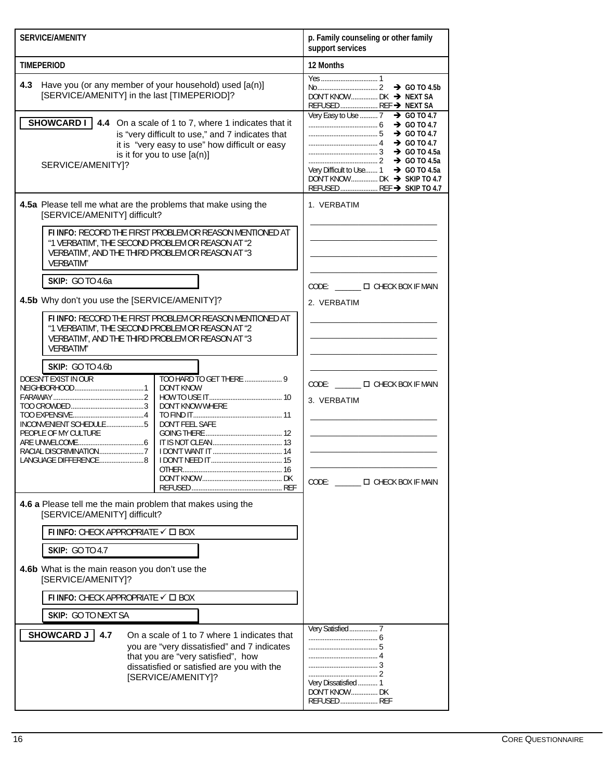| <b>SERVICE/AMENITY</b> |                                                                        |                                                                                                                                                                                                      | p. Family counseling or other family<br>support services                                                                                                                                                                                                                                                     |
|------------------------|------------------------------------------------------------------------|------------------------------------------------------------------------------------------------------------------------------------------------------------------------------------------------------|--------------------------------------------------------------------------------------------------------------------------------------------------------------------------------------------------------------------------------------------------------------------------------------------------------------|
| <b>TIMEPERIOD</b>      |                                                                        |                                                                                                                                                                                                      | 12 Months                                                                                                                                                                                                                                                                                                    |
| 4.3                    | [SERVICE/AMENITY] in the last [TIMEPERIOD]?                            | Have you (or any member of your household) used [a(n)]                                                                                                                                               | $\rightarrow$ GO TO 4.5b<br>DON'T KNOW  DK → NEXT SA<br>REFUSED  REF → NEXT SA                                                                                                                                                                                                                               |
| <b>SHOWCARD I</b>      | SERVICE/AMENITY]?                                                      | 4.4 On a scale of 1 to 7, where 1 indicates that it<br>is "very difficult to use," and 7 indicates that<br>it is "very easy to use" how difficult or easy<br>is it for you to use $[a(n)]$           | Very Easy to Use  7<br>$\rightarrow$ GO TO 4.7<br>$\rightarrow$ GO TO 4.7<br>$\rightarrow$ GO TO 4.7<br>$\rightarrow$ GO TO 4.7<br>$\rightarrow$ GO TO 4.5a<br>$\rightarrow$ GO TO 4.5a<br>Very Difficult to Use 1<br>$\rightarrow$ GO TO 4.5a<br>DON'T KNOW  DK → SKIP TO 4.7<br>REFUSED  REF → SKIP TO 4.7 |
|                        | [SERVICE/AMENITY] difficult?                                           | 4.5a Please tell me what are the problems that make using the                                                                                                                                        | 1. VERBATIM                                                                                                                                                                                                                                                                                                  |
|                        | <b>VERBATIM"</b>                                                       | FI INFO: RECORD THE FIRST PROBLEM OR REASON MENTIONED AT<br>"1 VERBATIM", THE SECOND PROBLEM OR REASON AT "2<br>VERBATIM", AND THE THIRD PROBLEM OR REASON AT "3                                     |                                                                                                                                                                                                                                                                                                              |
|                        | <b>SKIP: GO TO 4.6a</b>                                                |                                                                                                                                                                                                      | CODE: _____ O CHECK BOX IF MAIN                                                                                                                                                                                                                                                                              |
|                        | 4.5b Why don't you use the [SERVICE/AMENITY]?                          |                                                                                                                                                                                                      | 2. VERBATIM                                                                                                                                                                                                                                                                                                  |
|                        | <b>VERBATIM"</b>                                                       | FI INFO: RECORD THE FIRST PROBLEM OR REASON MENTIONED AT<br>"1 VERBATIM", THE SECOND PROBLEM OR REASON AT "2<br>VERBATIM", AND THE THIRD PROBLEM OR REASON AT "3                                     |                                                                                                                                                                                                                                                                                                              |
|                        | <b>SKIP: GO TO 4.6b</b>                                                |                                                                                                                                                                                                      |                                                                                                                                                                                                                                                                                                              |
| DOESN'T EXIST IN OUR   | INCONVENIENT SCHEDULE5<br>PEOPLE OF MY CULTURE<br>LANGUAGE DIFFERENCE8 | <b>DON'T KNOW</b><br>DON'T KNOW WHERE<br>DON'T FEEL SAFE                                                                                                                                             | CODE: _______ O CHECK BOX IF MAIN<br>3. VERBATIM<br>$\Box$ CHECK BOX IF MAIN                                                                                                                                                                                                                                 |
|                        | [SERVICE/AMENITY] difficult?                                           | 4.6 a Please tell me the main problem that makes using the                                                                                                                                           |                                                                                                                                                                                                                                                                                                              |
|                        | FI INFO: CHECK APPROPRIATE $\checkmark$ $\Box$ BOX                     |                                                                                                                                                                                                      |                                                                                                                                                                                                                                                                                                              |
|                        | <b>SKIP: GO TO 4.7</b>                                                 |                                                                                                                                                                                                      |                                                                                                                                                                                                                                                                                                              |
|                        | 4.6b What is the main reason you don't use the<br>[SERVICE/AMENITY]?   |                                                                                                                                                                                                      |                                                                                                                                                                                                                                                                                                              |
|                        | FI INFO: CHECK APPROPRIATE $\checkmark$ $\Box$ BOX                     |                                                                                                                                                                                                      |                                                                                                                                                                                                                                                                                                              |
|                        | SKIP: GO TO NEXT SA                                                    |                                                                                                                                                                                                      |                                                                                                                                                                                                                                                                                                              |
|                        | SHOWCARD J<br>4.7                                                      | On a scale of 1 to 7 where 1 indicates that<br>you are "very dissatisfied" and 7 indicates<br>that you are "very satisfied", how<br>dissatisfied or satisfied are you with the<br>[SERVICE/AMENITY]? | Very Satisfied  7<br>Very Dissatisfied  1<br>DON'T KNOW  DK<br>REFUSED  REF                                                                                                                                                                                                                                  |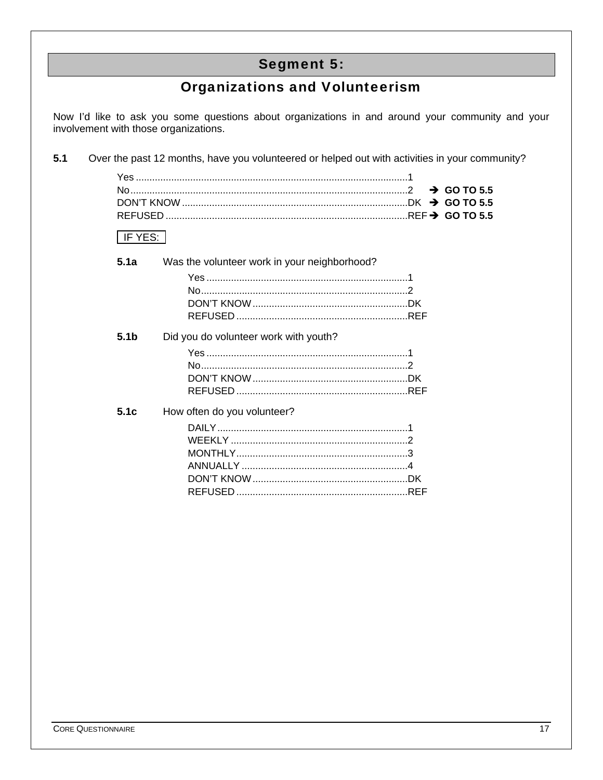## **Segment 5:**

## **Organizations and Volunteerism**

Now I'd like to ask you some questions about organizations in and around your community and your involvement with those organizations.

| 5.1 |                  | Over the past 12 months, have you volunteered or helped out with activities in your community? |                         |
|-----|------------------|------------------------------------------------------------------------------------------------|-------------------------|
|     |                  |                                                                                                | $\rightarrow$ GO TO 5.5 |
|     | IF YES:          |                                                                                                |                         |
|     | 5.1a             | Was the volunteer work in your neighborhood?                                                   |                         |
|     |                  |                                                                                                |                         |
|     | 5.1 <sub>b</sub> | Did you do volunteer work with youth?                                                          |                         |
|     |                  |                                                                                                |                         |
|     | 5.1c             | How often do you volunteer?                                                                    |                         |
|     |                  |                                                                                                |                         |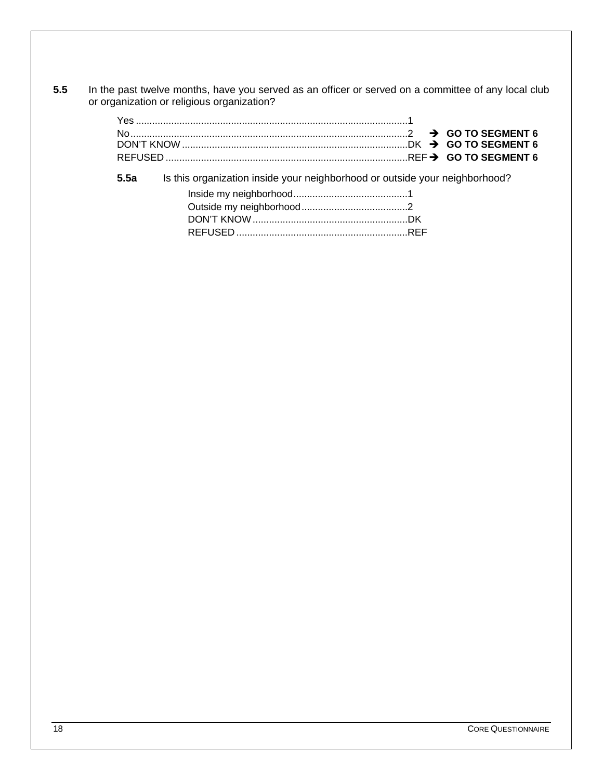#### In the past twelve months, have you served as an officer or served on a committee of any local club or organization or religious organization?  $5.5$

| 5.5a | Is this organization inside your neighborhood or outside your neighborhood? |  |  |  |
|------|-----------------------------------------------------------------------------|--|--|--|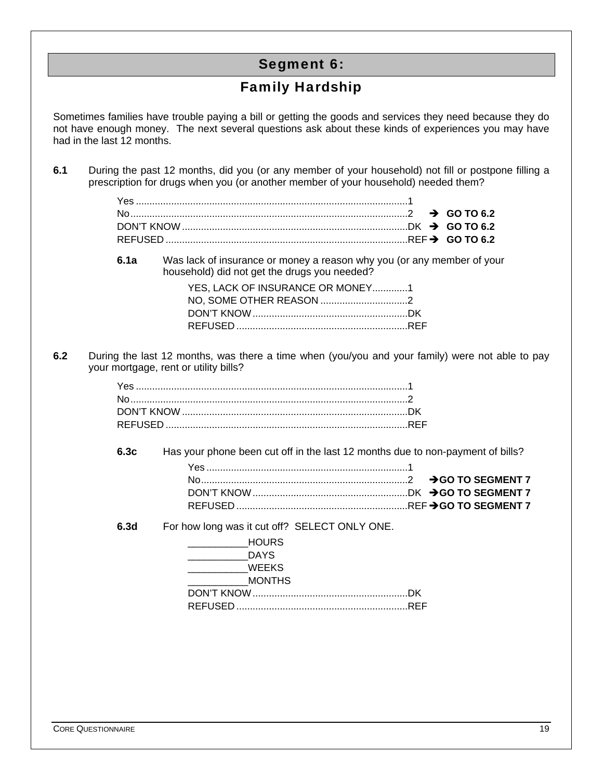#### Segment 6:

## **Family Hardship**

Sometimes families have trouble paying a bill or getting the goods and services they need because they do not have enough money. The next several questions ask about these kinds of experiences you may have had in the last 12 months.

 $6.1$ During the past 12 months, did you (or any member of your household) not fill or postpone filling a prescription for drugs when you (or another member of your household) needed them?

 $6.1a$ Was lack of insurance or money a reason why you (or any member of your household) did not get the drugs you needed?

| YES, LACK OF INSURANCE OR MONEY1 |  |
|----------------------------------|--|
| NO, SOME OTHER REASON 2          |  |
|                                  |  |
|                                  |  |

 $6.2$ During the last 12 months, was there a time when (you/you and your family) were not able to pay your mortgage, rent or utility bills?

 $6.3c$ Has your phone been cut off in the last 12 months due to non-payment of bills?

 $6.3<sub>d</sub>$ For how long was it cut off? SELECT ONLY ONE.

| <b>HOURS</b>  |    |
|---------------|----|
| <b>DAYS</b>   |    |
| <b>WEEKS</b>  |    |
| <b>MONTHS</b> |    |
|               | DΚ |
|               |    |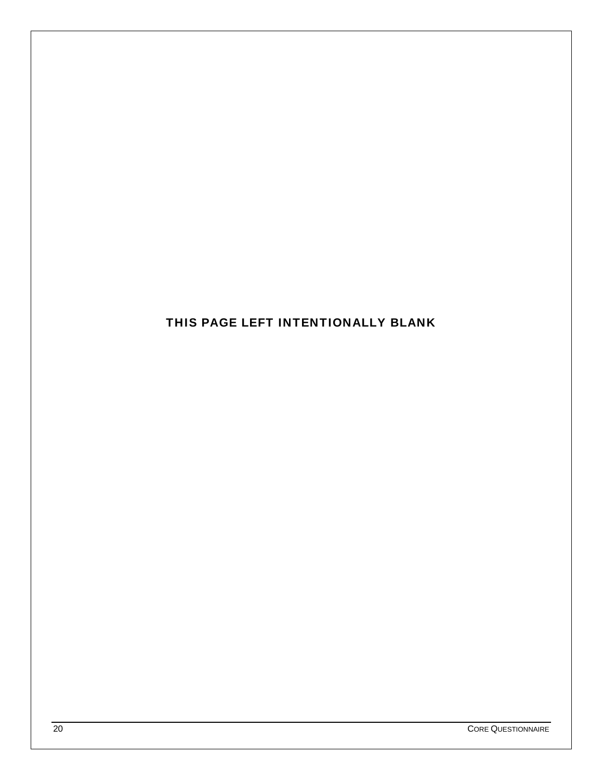## THIS PAGE LEFT INTENTIONALLY BLANK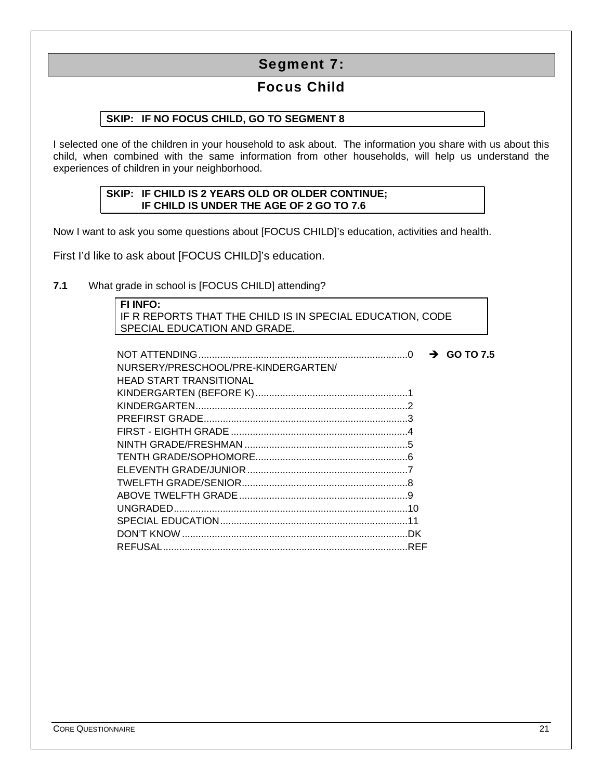## Segment 7:

## Focus Child

#### **SKIP: IF NO FOCUS CHILD, GO TO SEGMENT 8**

I selected one of the children in your household to ask about. The information you share with us about this child, when combined with the same information from other households, will help us understand the experiences of children in your neighborhood.

#### **SKIP: IF CHILD IS 2 YEARS OLD OR OLDER CONTINUE; IF CHILD IS UNDER THE AGE OF 2 GO TO 7.6**

Now I want to ask you some questions about [FOCUS CHILD]'s education, activities and health.

First I'd like to ask about [FOCUS CHILD]'s education.

#### **7.1** What grade in school is [FOCUS CHILD] attending?

| <b>FI INFO:</b><br>IF R REPORTS THAT THE CHILD IS IN SPECIAL EDUCATION, CODE<br>SPECIAL EDUCATION AND GRADE. |                         |
|--------------------------------------------------------------------------------------------------------------|-------------------------|
|                                                                                                              |                         |
| NURSERY/PRESCHOOL/PRE-KINDERGARTEN/                                                                          | $\rightarrow$ GO TO 7.5 |
| <b>HEAD START TRANSITIONAL</b>                                                                               |                         |
|                                                                                                              |                         |
|                                                                                                              |                         |
|                                                                                                              |                         |
|                                                                                                              |                         |
|                                                                                                              |                         |
|                                                                                                              |                         |
|                                                                                                              |                         |
|                                                                                                              |                         |
|                                                                                                              |                         |
|                                                                                                              |                         |
|                                                                                                              |                         |
|                                                                                                              |                         |
| .REF                                                                                                         |                         |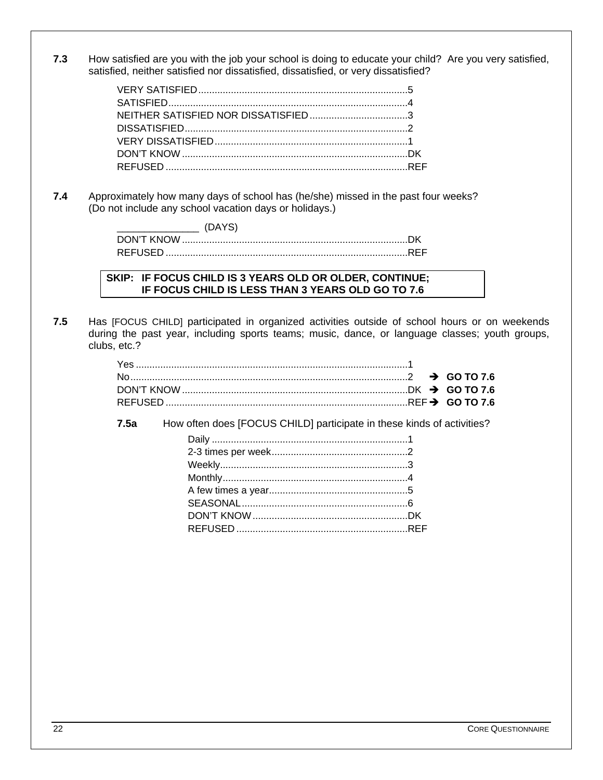**7.3** How satisfied are you with the job your school is doing to educate your child? Are you very satisfied, satisfied, neither satisfied nor dissatisfied, dissatisfied, or very dissatisfied?

**7.4** Approximately how many days of school has (he/she) missed in the past four weeks? (Do not include any school vacation days or holidays.)

| <b>REFUSED</b> |  |
|----------------|--|

**SKIP: IF FOCUS CHILD IS 3 YEARS OLD OR OLDER, CONTINUE; IF FOCUS CHILD IS LESS THAN 3 YEARS OLD GO TO 7.6**

**7.5** Has [FOCUS CHILD] participated in organized activities outside of school hours or on weekends during the past year, including sports teams; music, dance, or language classes; youth groups, clubs, etc.?

**7.5a** How often does [FOCUS CHILD] participate in these kinds of activities?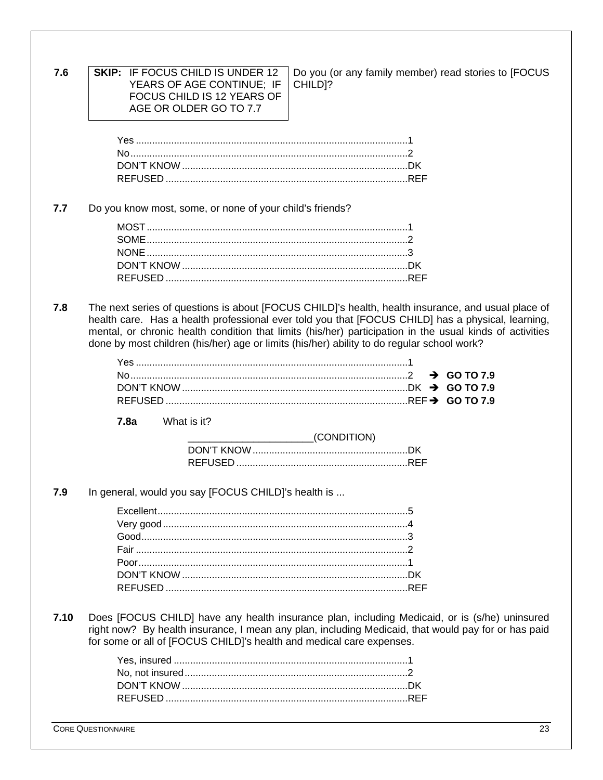$7.6$ **SKIP: IF FOCUS CHILD IS UNDER 12** Do you (or any family member) read stories to [FOCUS YEARS OF AGE CONTINUE; IF CHILD<sub>1</sub>? **FOCUS CHILD IS 12 YEARS OF** AGE OR OLDER GO TO 7.7  $7.7$ Do you know most, some, or none of your child's friends?  $7.8$ The next series of questions is about [FOCUS CHILD]'s health, health insurance, and usual place of health care. Has a health professional ever told you that [FOCUS CHILD] has a physical, learning, mental, or chronic health condition that limits (his/her) participation in the usual kinds of activities done by most children (his/her) age or limits (his/her) ability to do regular school work?  $\rightarrow$  GO TO 7.9  $7.8a$ What is it? (CONDITION) REFUSED REFUSED 7.9 In general, would you say [FOCUS CHILD]'s health is ...  $Good$  3  $7.10$ Does [FOCUS CHILD] have any health insurance plan, including Medicaid, or is (s/he) uninsured right now? By health insurance, I mean any plan, including Medicaid, that would pay for or has paid for some or all of [FOCUS CHILD]'s health and medical care expenses.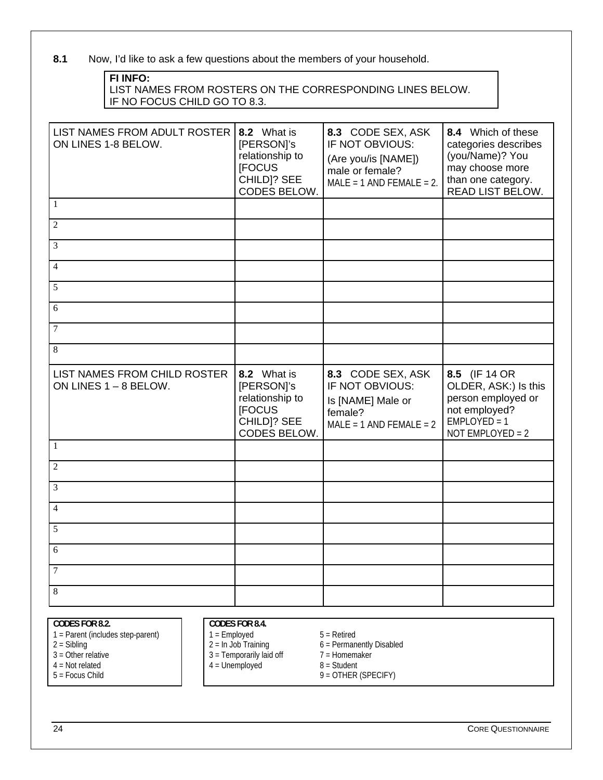**8.1** Now, I'd like to ask a few questions about the members of your household.

**FI INFO:** LIST NAMES FROM ROSTERS ON THE CORRESPONDING LINES BELOW. IF NO FOCUS CHILD GO TO 8.3.

| LIST NAMES FROM ADULT ROSTER<br>8.2 What is<br>8.3 CODE SEX, ASK<br>IF NOT OBVIOUS:<br>ON LINES 1-8 BELOW.<br>[PERSON]'s<br>(you/Name)? You<br>relationship to<br>(Are you/is [NAME])<br><b>[FOCUS</b><br>may choose more<br>male or female?<br>CHILD]? SEE<br>than one category.<br>$MALE = 1$ AND FEMALE = 2.<br>CODES BELOW.<br>1<br>$\overline{2}$<br>3<br>4<br>5<br>6<br>7<br>8<br>8.2 What is<br>8.5 (IF 14 OR<br>LIST NAMES FROM CHILD ROSTER<br>8.3 CODE SEX, ASK<br>IF NOT OBVIOUS:<br>ON LINES 1 - 8 BELOW.<br>[PERSON]'s<br>relationship to<br>Is [NAME] Male or<br><b>IFOCUS</b><br>not employed?<br>female?<br>$EMPLOYED = 1$<br>CHILD]? SEE<br>$MALE = 1 AND FEMALE = 2$<br>CODES BELOW.<br>NOT EMPLOYED = 2<br>$\mathbf{1}$<br>$\overline{c}$ |  |                                                                |
|--------------------------------------------------------------------------------------------------------------------------------------------------------------------------------------------------------------------------------------------------------------------------------------------------------------------------------------------------------------------------------------------------------------------------------------------------------------------------------------------------------------------------------------------------------------------------------------------------------------------------------------------------------------------------------------------------------------------------------------------------------------|--|----------------------------------------------------------------|
|                                                                                                                                                                                                                                                                                                                                                                                                                                                                                                                                                                                                                                                                                                                                                              |  | 8.4 Which of these<br>categories describes<br>READ LIST BELOW. |
|                                                                                                                                                                                                                                                                                                                                                                                                                                                                                                                                                                                                                                                                                                                                                              |  |                                                                |
|                                                                                                                                                                                                                                                                                                                                                                                                                                                                                                                                                                                                                                                                                                                                                              |  |                                                                |
|                                                                                                                                                                                                                                                                                                                                                                                                                                                                                                                                                                                                                                                                                                                                                              |  |                                                                |
|                                                                                                                                                                                                                                                                                                                                                                                                                                                                                                                                                                                                                                                                                                                                                              |  |                                                                |
|                                                                                                                                                                                                                                                                                                                                                                                                                                                                                                                                                                                                                                                                                                                                                              |  |                                                                |
|                                                                                                                                                                                                                                                                                                                                                                                                                                                                                                                                                                                                                                                                                                                                                              |  |                                                                |
|                                                                                                                                                                                                                                                                                                                                                                                                                                                                                                                                                                                                                                                                                                                                                              |  |                                                                |
|                                                                                                                                                                                                                                                                                                                                                                                                                                                                                                                                                                                                                                                                                                                                                              |  |                                                                |
|                                                                                                                                                                                                                                                                                                                                                                                                                                                                                                                                                                                                                                                                                                                                                              |  | OLDER, ASK:) Is this<br>person employed or                     |
|                                                                                                                                                                                                                                                                                                                                                                                                                                                                                                                                                                                                                                                                                                                                                              |  |                                                                |
|                                                                                                                                                                                                                                                                                                                                                                                                                                                                                                                                                                                                                                                                                                                                                              |  |                                                                |
| 3                                                                                                                                                                                                                                                                                                                                                                                                                                                                                                                                                                                                                                                                                                                                                            |  |                                                                |
| 4                                                                                                                                                                                                                                                                                                                                                                                                                                                                                                                                                                                                                                                                                                                                                            |  |                                                                |
| 5                                                                                                                                                                                                                                                                                                                                                                                                                                                                                                                                                                                                                                                                                                                                                            |  |                                                                |
| 6                                                                                                                                                                                                                                                                                                                                                                                                                                                                                                                                                                                                                                                                                                                                                            |  |                                                                |
| 7                                                                                                                                                                                                                                                                                                                                                                                                                                                                                                                                                                                                                                                                                                                                                            |  |                                                                |
| 8                                                                                                                                                                                                                                                                                                                                                                                                                                                                                                                                                                                                                                                                                                                                                            |  |                                                                |

- **CODES FOR 8.2. CODES FOR 8.4.**
- 1 = Parent (includes step-parent)
- 2 = Sibling
- $3$  = Other relative 4 = Not related

5 = Focus Child

- 1 = Employed
- $2 = \ln \text{Job}$  Training
- $3$  = Temporarily laid off
- 
- $4 =$  Unemployed
- 5 = Retired
- 6 = Permanently Disabled
- 7 = Homemaker
- 8 = Student
- 9 = OTHER (SPECIFY)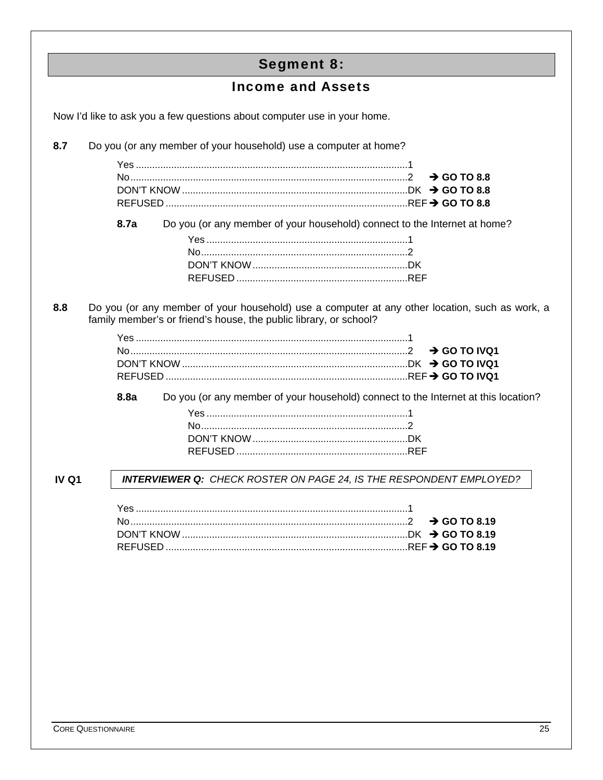|              |      | <b>Segment 8:</b>                                                                  |                          |
|--------------|------|------------------------------------------------------------------------------------|--------------------------|
|              |      | <b>Income and Assets</b>                                                           |                          |
|              |      | Now I'd like to ask you a few questions about computer use in your home.           |                          |
| 8.7          |      | Do you (or any member of your household) use a computer at home?                   |                          |
|              |      |                                                                                    |                          |
|              |      |                                                                                    | $\rightarrow$ GO TO 8.8  |
|              |      |                                                                                    |                          |
|              | 8.7a | Do you (or any member of your household) connect to the Internet at home?          |                          |
|              |      |                                                                                    |                          |
|              |      |                                                                                    |                          |
|              |      |                                                                                    |                          |
|              |      |                                                                                    |                          |
|              |      |                                                                                    | $\rightarrow$ GO TO IVO1 |
|              | 8.8a | Do you (or any member of your household) connect to the Internet at this location? |                          |
|              |      |                                                                                    |                          |
|              |      |                                                                                    |                          |
|              |      |                                                                                    |                          |
|              |      |                                                                                    |                          |
| <b>IV Q1</b> |      | <b>INTERVIEWER Q: CHECK ROSTER ON PAGE 24, IS THE RESPONDENT EMPLOYED?</b>         |                          |
|              |      |                                                                                    |                          |
|              |      |                                                                                    | $\rightarrow$ GO TO 8.19 |
|              |      |                                                                                    |                          |
|              |      |                                                                                    |                          |
|              |      |                                                                                    |                          |
|              |      |                                                                                    |                          |
|              |      |                                                                                    |                          |
|              |      |                                                                                    |                          |
|              |      |                                                                                    |                          |
|              |      |                                                                                    |                          |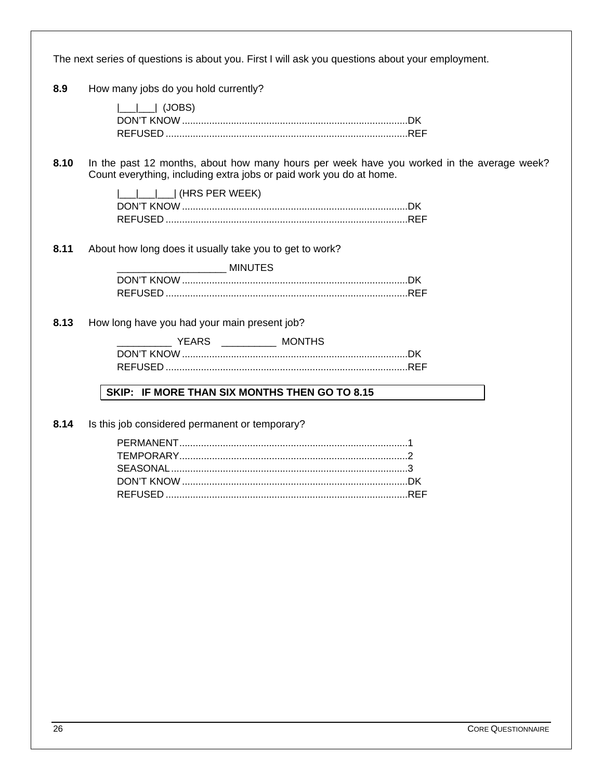| The next series of questions is about you. First I will ask you questions about your employment.                                                                                                             |  |
|--------------------------------------------------------------------------------------------------------------------------------------------------------------------------------------------------------------|--|
| How many jobs do you hold currently?<br>8.9<br>$\Box$ (JOBS)                                                                                                                                                 |  |
| 8.10<br>In the past 12 months, about how many hours per week have you worked in the average week?<br>Count everything, including extra jobs or paid work you do at home.<br>$\Box$   $\Box$   (HRS PER WEEK) |  |
| 8.11<br>About how long does it usually take you to get to work?<br>__________ MINUTES                                                                                                                        |  |
| 8.13<br>How long have you had your main present job?<br>YEARS _____________ MONTHS<br>SKIP: IF MORE THAN SIX MONTHS THEN GO TO 8.15                                                                          |  |
| 8.14<br>Is this job considered permanent or temporary?                                                                                                                                                       |  |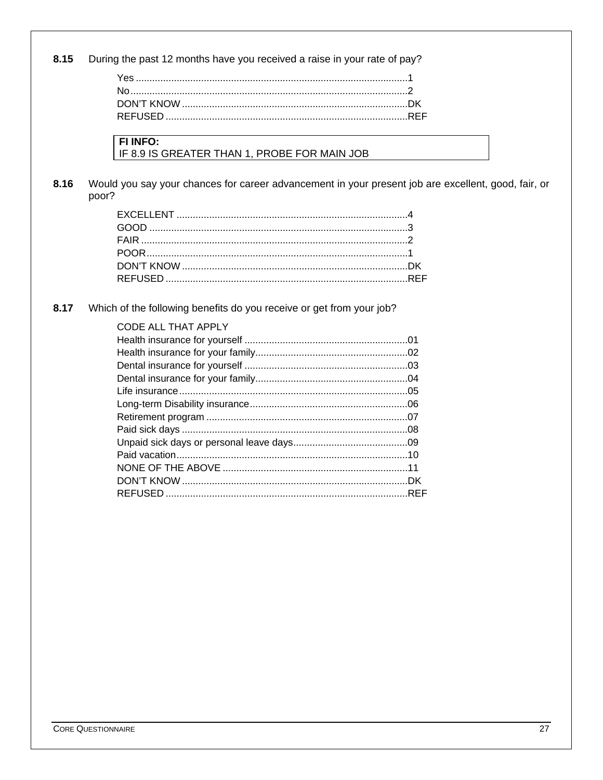During the past 12 months have you received a raise in your rate of pay? 8.15

#### FI INFO:

IF 8.9 IS GREATER THAN 1, PROBE FOR MAIN JOB

Would you say your chances for career advancement in your present job are excellent, good, fair, or 8.16 poor?

8.17 Which of the following benefits do you receive or get from your job?

| CODE ALL THAT APPLY |  |
|---------------------|--|
|                     |  |
|                     |  |
|                     |  |
|                     |  |
|                     |  |
|                     |  |
|                     |  |
|                     |  |
|                     |  |
|                     |  |
|                     |  |
|                     |  |
|                     |  |
|                     |  |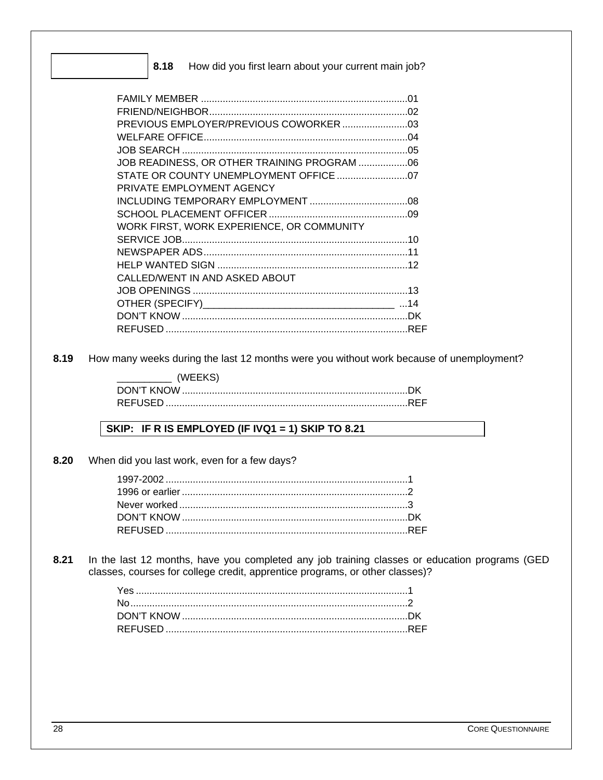| 8.19<br>8.20<br>8.21 | 8.18<br>How did you first learn about your current main job?<br>JOB READINESS, OR OTHER TRAINING PROGRAM  06<br>PRIVATE EMPLOYMENT AGENCY<br>WORK FIRST, WORK EXPERIENCE, OR COMMUNITY<br>CALLED/WENT IN AND ASKED ABOUT | How many weeks during the last 12 months were you without work because of unemployment? |
|----------------------|--------------------------------------------------------------------------------------------------------------------------------------------------------------------------------------------------------------------------|-----------------------------------------------------------------------------------------|
|                      |                                                                                                                                                                                                                          |                                                                                         |
|                      |                                                                                                                                                                                                                          |                                                                                         |
|                      |                                                                                                                                                                                                                          |                                                                                         |
|                      |                                                                                                                                                                                                                          |                                                                                         |
|                      |                                                                                                                                                                                                                          |                                                                                         |
|                      |                                                                                                                                                                                                                          |                                                                                         |
|                      |                                                                                                                                                                                                                          |                                                                                         |
|                      |                                                                                                                                                                                                                          |                                                                                         |
|                      |                                                                                                                                                                                                                          |                                                                                         |
|                      |                                                                                                                                                                                                                          |                                                                                         |
|                      |                                                                                                                                                                                                                          |                                                                                         |
|                      |                                                                                                                                                                                                                          |                                                                                         |
|                      |                                                                                                                                                                                                                          |                                                                                         |
|                      |                                                                                                                                                                                                                          |                                                                                         |
|                      |                                                                                                                                                                                                                          |                                                                                         |
|                      |                                                                                                                                                                                                                          |                                                                                         |
|                      |                                                                                                                                                                                                                          |                                                                                         |
|                      |                                                                                                                                                                                                                          |                                                                                         |
|                      |                                                                                                                                                                                                                          |                                                                                         |
|                      |                                                                                                                                                                                                                          |                                                                                         |
|                      |                                                                                                                                                                                                                          |                                                                                         |
|                      |                                                                                                                                                                                                                          |                                                                                         |
|                      | SKIP: IF R IS EMPLOYED (IF IVQ1 = 1) SKIP TO 8.21                                                                                                                                                                        |                                                                                         |
|                      | When did you last work, even for a few days?                                                                                                                                                                             |                                                                                         |
|                      |                                                                                                                                                                                                                          |                                                                                         |
|                      |                                                                                                                                                                                                                          |                                                                                         |
|                      |                                                                                                                                                                                                                          |                                                                                         |
|                      |                                                                                                                                                                                                                          |                                                                                         |
|                      |                                                                                                                                                                                                                          |                                                                                         |
|                      |                                                                                                                                                                                                                          |                                                                                         |
|                      | In the last 12 months, have you completed any job training classes or education programs (GED<br>classes, courses for college credit, apprentice programs, or other classes)?                                            |                                                                                         |
|                      |                                                                                                                                                                                                                          |                                                                                         |
|                      |                                                                                                                                                                                                                          |                                                                                         |
|                      |                                                                                                                                                                                                                          |                                                                                         |
|                      |                                                                                                                                                                                                                          |                                                                                         |
|                      |                                                                                                                                                                                                                          |                                                                                         |
|                      |                                                                                                                                                                                                                          |                                                                                         |
|                      |                                                                                                                                                                                                                          |                                                                                         |
|                      |                                                                                                                                                                                                                          |                                                                                         |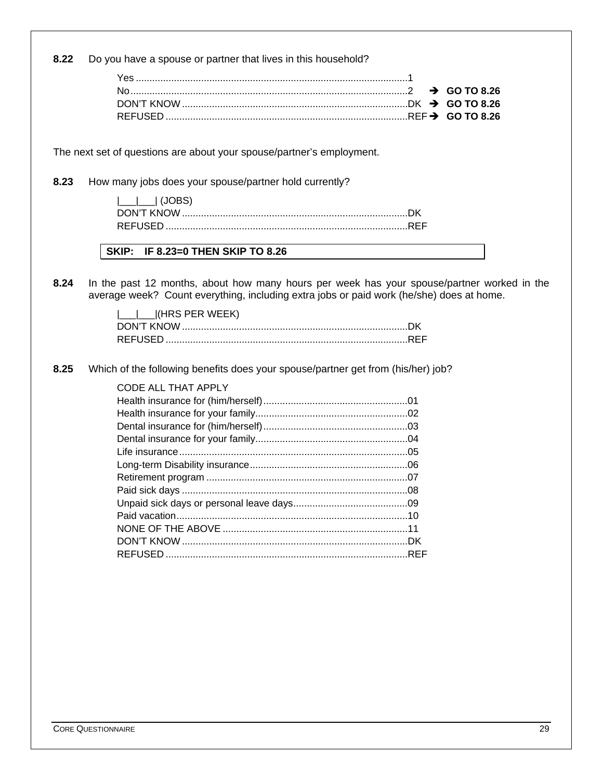| 8.22 | Do you have a spouse or partner that lives in this household? |  |  |  |  |
|------|---------------------------------------------------------------|--|--|--|--|
|------|---------------------------------------------------------------|--|--|--|--|

The next set of questions are about your spouse/partner's employment.

**8.23** How many jobs does your spouse/partner hold currently?

#### **SKIP: IF 8.23=0 THEN SKIP TO 8.26**

**8.24** In the past 12 months, about how many hours per week has your spouse/partner worked in the average week? Count everything, including extra jobs or paid work (he/she) does at home.

| $\lfloor$ $\lfloor$ $\rfloor$ $\lfloor$ (HRS PER WEEK) |  |
|--------------------------------------------------------|--|
|                                                        |  |
|                                                        |  |

**8.25** Which of the following benefits does your spouse/partner get from (his/her) job?

| CODE ALL THAT APPLY |  |
|---------------------|--|
|                     |  |
|                     |  |
|                     |  |
|                     |  |
|                     |  |
|                     |  |
|                     |  |
|                     |  |
|                     |  |
|                     |  |
|                     |  |
|                     |  |
|                     |  |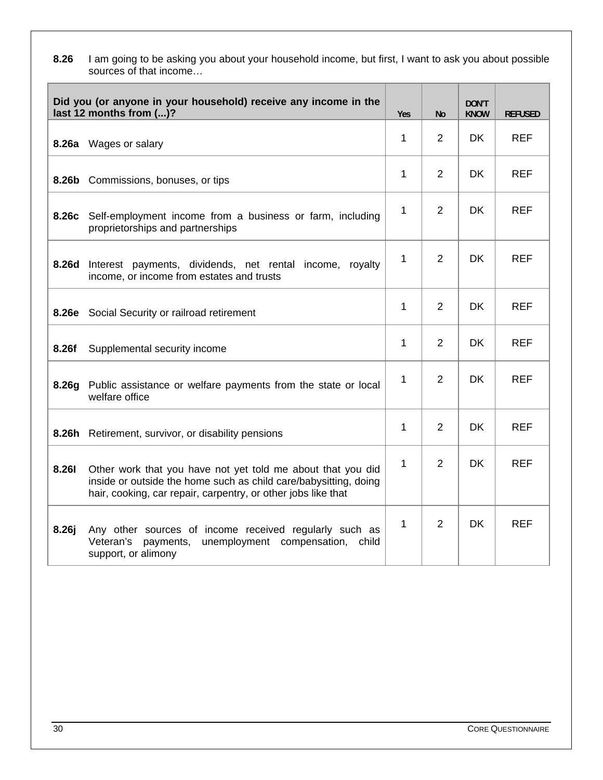**8.26** I am going to be asking you about your household income, but first, I want to ask you about possible sources of that income…

|       | Did you (or anyone in your household) receive any income in the<br>last 12 months from ()?                                                                                                       | <b>Yes</b> | <b>No</b>      | DON'T<br><b>KNOW</b> | <b>REFUSED</b> |
|-------|--------------------------------------------------------------------------------------------------------------------------------------------------------------------------------------------------|------------|----------------|----------------------|----------------|
|       | 8.26a Wages or salary                                                                                                                                                                            | 1          | 2              | <b>DK</b>            | <b>REF</b>     |
|       | 8.26b Commissions, bonuses, or tips                                                                                                                                                              | 1          | 2              | <b>DK</b>            | <b>REF</b>     |
| 8.26c | Self-employment income from a business or farm, including<br>proprietorships and partnerships                                                                                                    | 1          | $\overline{2}$ | DK.                  | <b>REF</b>     |
| 8.26d | Interest payments, dividends, net rental income, royalty<br>income, or income from estates and trusts                                                                                            | 1          | $\overline{2}$ | <b>DK</b>            | <b>REF</b>     |
| 8.26e | Social Security or railroad retirement                                                                                                                                                           | 1          | $\overline{2}$ | <b>DK</b>            | <b>REF</b>     |
| 8.26f | Supplemental security income                                                                                                                                                                     | 1          | $\overline{2}$ | <b>DK</b>            | <b>REF</b>     |
| 8.26g | Public assistance or welfare payments from the state or local<br>welfare office                                                                                                                  | 1          | 2              | <b>DK</b>            | <b>REF</b>     |
|       | 8.26h Retirement, survivor, or disability pensions                                                                                                                                               | 1          | $\overline{2}$ | <b>DK</b>            | <b>REF</b>     |
| 8.261 | Other work that you have not yet told me about that you did<br>inside or outside the home such as child care/babysitting, doing<br>hair, cooking, car repair, carpentry, or other jobs like that | 1          | $\overline{2}$ | <b>DK</b>            | <b>REF</b>     |
| 8.26j | Any other sources of income received regularly such as<br>Veteran's payments,<br>unemployment compensation,<br>child<br>support, or alimony                                                      | 1          | $\overline{2}$ | <b>DK</b>            | <b>REF</b>     |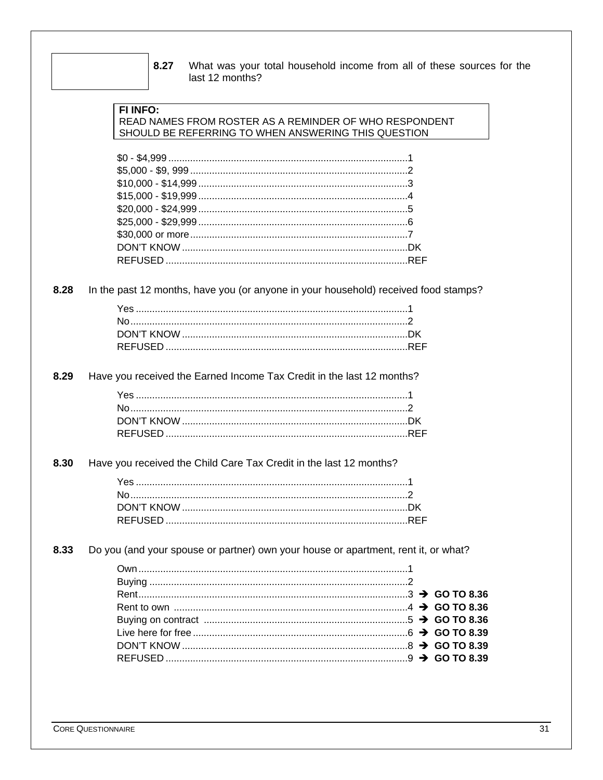| ۰. |
|----|
|----|

What was your total household income from all of these sources for the last 12 months?

#### FI INFO: READ NAMES FROM ROSTER AS A REMINDER OF WHO RESPONDENT SHOULD BE REFERRING TO WHEN ANSWERING THIS QUESTION

| $$5.000 - $9,999 \dots 2$ |  |
|---------------------------|--|
|                           |  |
|                           |  |
|                           |  |
|                           |  |
|                           |  |
|                           |  |
|                           |  |

8.28 In the past 12 months, have you (or anyone in your household) received food stamps?

8.29 Have you received the Earned Income Tax Credit in the last 12 months?

#### 8.30 Have you received the Child Care Tax Credit in the last 12 months?

8.33 Do you (and your spouse or partner) own your house or apartment, rent it, or what?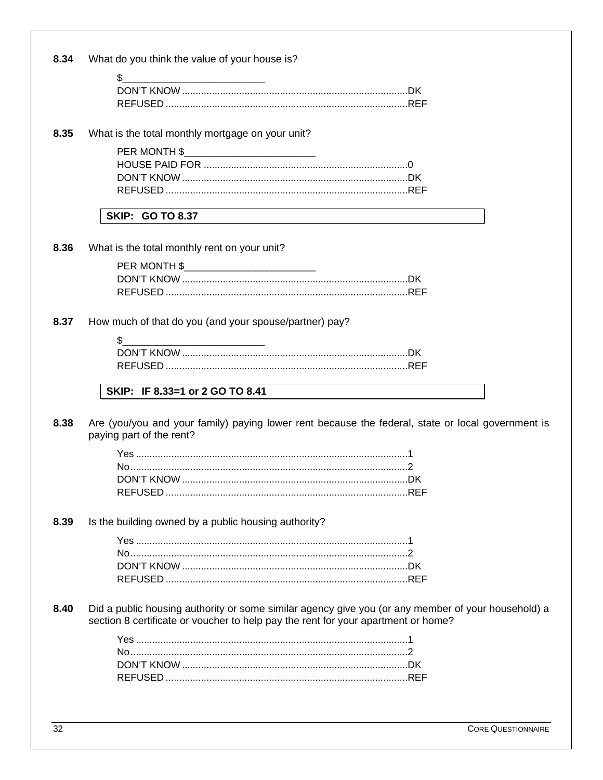|      | What do you think the value of your house is?                                                                                                                                           |  |
|------|-----------------------------------------------------------------------------------------------------------------------------------------------------------------------------------------|--|
|      | \$<br><u> 1986 - Jan Barbarat, martin a</u>                                                                                                                                             |  |
|      |                                                                                                                                                                                         |  |
|      |                                                                                                                                                                                         |  |
| 8.35 | What is the total monthly mortgage on your unit?                                                                                                                                        |  |
|      | PER MONTH \$______________________________                                                                                                                                              |  |
|      |                                                                                                                                                                                         |  |
|      |                                                                                                                                                                                         |  |
|      |                                                                                                                                                                                         |  |
|      | <b>SKIP: GO TO 8.37</b>                                                                                                                                                                 |  |
| 8.36 | What is the total monthly rent on your unit?                                                                                                                                            |  |
|      |                                                                                                                                                                                         |  |
|      | PER MONTH \$______________________________                                                                                                                                              |  |
|      |                                                                                                                                                                                         |  |
|      |                                                                                                                                                                                         |  |
| 8.37 | How much of that do you (and your spouse/partner) pay?                                                                                                                                  |  |
|      | SS.<br><u> 1980 - Jan Samuel Barbara, martin da shekara 1980 - Ang Barbara na Barbara na Barbara na Barbara na Barbara</u>                                                              |  |
|      |                                                                                                                                                                                         |  |
|      |                                                                                                                                                                                         |  |
|      |                                                                                                                                                                                         |  |
|      | SKIP: IF 8.33=1 or 2 GO TO 8.41                                                                                                                                                         |  |
| 8.38 | Are (you/you and your family) paying lower rent because the federal, state or local government is                                                                                       |  |
|      | paying part of the rent?                                                                                                                                                                |  |
|      |                                                                                                                                                                                         |  |
|      |                                                                                                                                                                                         |  |
|      |                                                                                                                                                                                         |  |
|      |                                                                                                                                                                                         |  |
| 8.39 | Is the building owned by a public housing authority?                                                                                                                                    |  |
|      |                                                                                                                                                                                         |  |
|      |                                                                                                                                                                                         |  |
|      |                                                                                                                                                                                         |  |
|      |                                                                                                                                                                                         |  |
|      |                                                                                                                                                                                         |  |
| 8.40 | Did a public housing authority or some similar agency give you (or any member of your household) a<br>section 8 certificate or voucher to help pay the rent for your apartment or home? |  |
|      |                                                                                                                                                                                         |  |
|      |                                                                                                                                                                                         |  |
|      |                                                                                                                                                                                         |  |
|      |                                                                                                                                                                                         |  |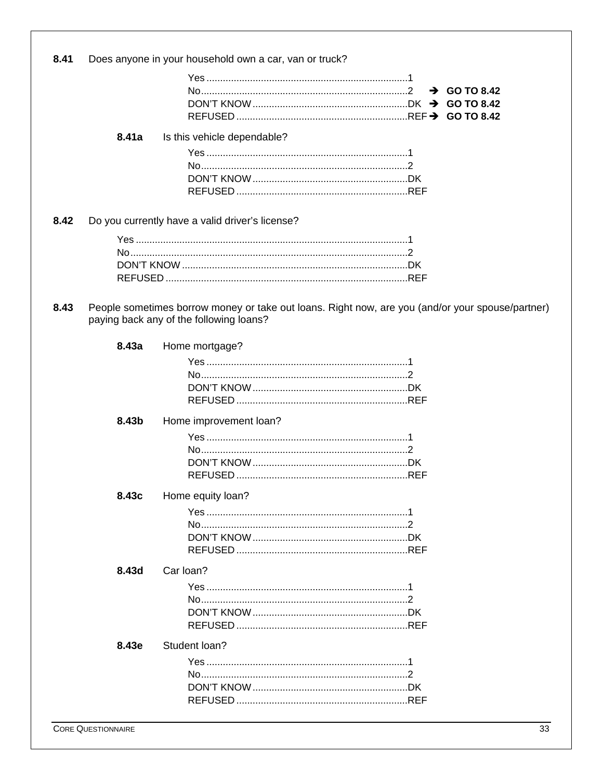8.41 Does anyone in your household own a car, van or truck?  $\rightarrow$  GO TO 8.42 8.41a Is this vehicle dependable? 8.42 Do you currently have a valid driver's license? 8.43 People sometimes borrow money or take out loans. Right now, are you (and/or your spouse/partner) paying back any of the following loans? 8.43a Home mortgage? 8.43b Home improvement loan? 8.43c Home equity loan? 8.43d Car Ioan? 8.43e Student Ioan? 

**CORE QUESTIONNAIRE**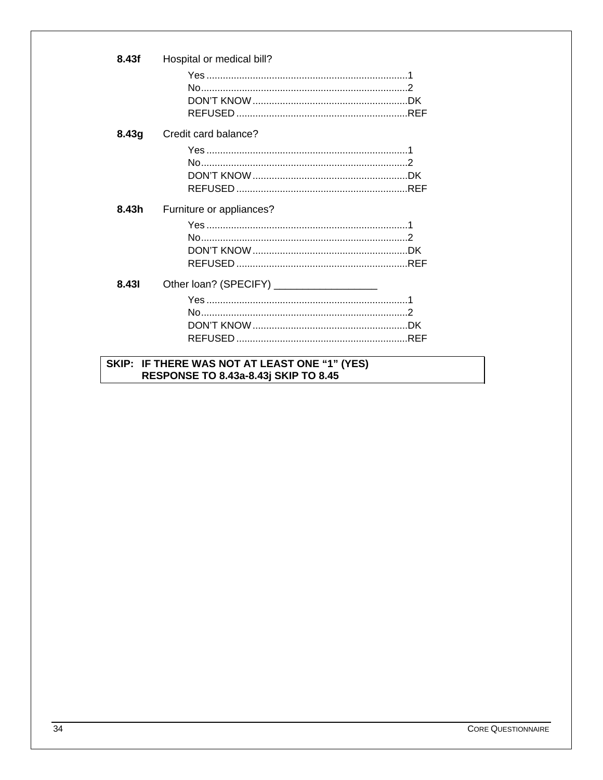| 8.43f | Hospital or medical bill? |  |
|-------|---------------------------|--|
|       |                           |  |
|       |                           |  |
|       |                           |  |
|       |                           |  |
| 8.43g | Credit card balance?      |  |
|       |                           |  |
|       |                           |  |
|       |                           |  |
|       |                           |  |
| 8.43h | Furniture or appliances?  |  |
|       |                           |  |
|       |                           |  |
|       |                           |  |
|       |                           |  |
| 8.431 |                           |  |
|       |                           |  |
|       |                           |  |
|       |                           |  |
|       |                           |  |
|       |                           |  |

# SKIP: IF THERE WAS NOT AT LEAST ONE "1" (YES)<br>RESPONSE TO 8.43a-8.43j SKIP TO 8.45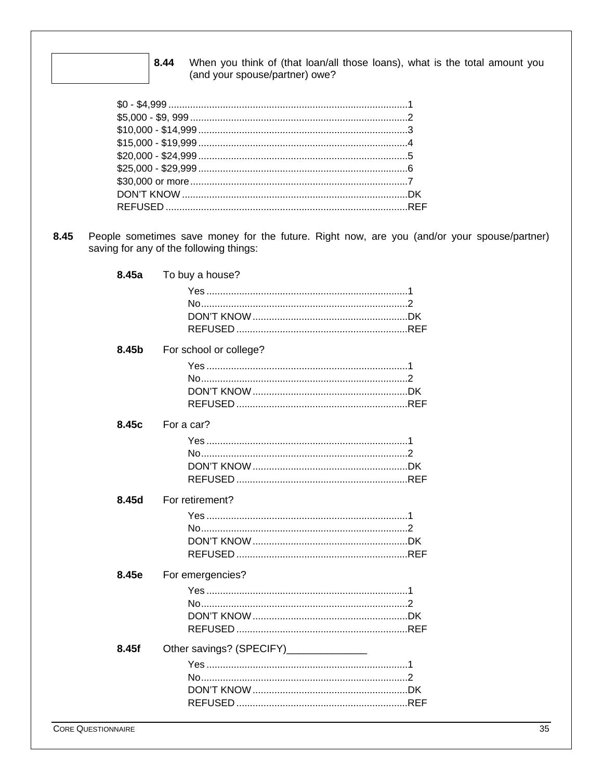8.44

When you think of (that loan/all those loans), what is the total amount you (and your spouse/partner) owe?

|      | $$5,000 - $9,999 \dots 2$               |                                                                                             |
|------|-----------------------------------------|---------------------------------------------------------------------------------------------|
|      |                                         |                                                                                             |
|      |                                         |                                                                                             |
|      |                                         |                                                                                             |
|      |                                         |                                                                                             |
|      |                                         |                                                                                             |
|      |                                         |                                                                                             |
|      |                                         |                                                                                             |
| 8.45 | saving for any of the following things: | People sometimes save money for the future. Right now, are you (and/or your spouse/partner) |
|      | 8.45a<br>To buy a house?                |                                                                                             |

|       | To buy a nouse?                         |
|-------|-----------------------------------------|
|       |                                         |
|       |                                         |
|       |                                         |
|       |                                         |
|       |                                         |
| 8.45b | For school or college?                  |
|       |                                         |
|       |                                         |
|       |                                         |
|       |                                         |
| 8.45c | For a car?                              |
|       |                                         |
|       |                                         |
|       |                                         |
|       |                                         |
|       |                                         |
| 8.45d | For retirement?                         |
|       |                                         |
|       |                                         |
|       |                                         |
|       |                                         |
|       |                                         |
| 8.45e | For emergencies?                        |
|       |                                         |
|       |                                         |
|       |                                         |
|       |                                         |
|       |                                         |
| 8.45f | Other savings? (SPECIFY)_______________ |
|       |                                         |
|       |                                         |
|       |                                         |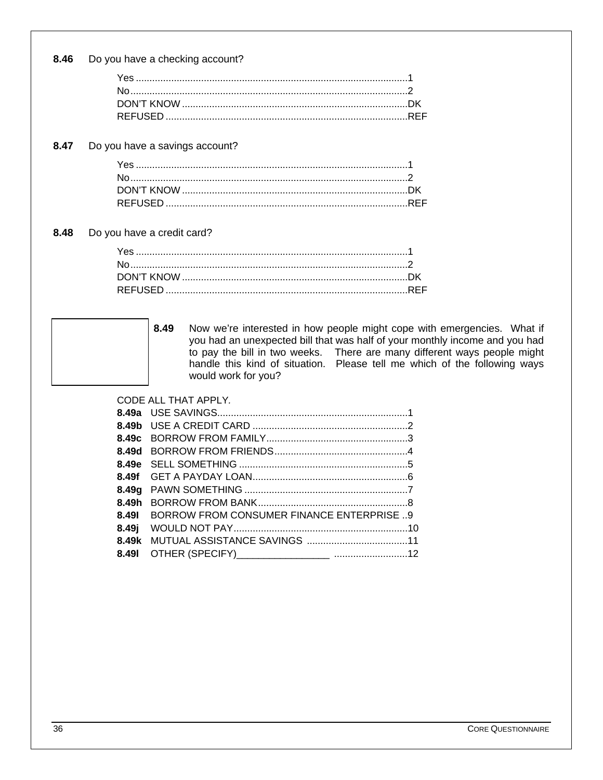| 8.46 | Do you have a checking account? |                                                                                                                                                        |
|------|---------------------------------|--------------------------------------------------------------------------------------------------------------------------------------------------------|
|      |                                 |                                                                                                                                                        |
|      |                                 |                                                                                                                                                        |
|      |                                 |                                                                                                                                                        |
|      |                                 |                                                                                                                                                        |
| 8.47 | Do you have a savings account?  |                                                                                                                                                        |
|      |                                 |                                                                                                                                                        |
|      |                                 |                                                                                                                                                        |
|      |                                 |                                                                                                                                                        |
|      |                                 |                                                                                                                                                        |
| 8.48 | Do you have a credit card?      |                                                                                                                                                        |
|      |                                 |                                                                                                                                                        |
|      |                                 |                                                                                                                                                        |
|      |                                 |                                                                                                                                                        |
|      |                                 |                                                                                                                                                        |
|      | 8.49                            | Now we're interested in how people might cope with emergencies. What if<br>you had an unexpected bill that was half of your monthly income and you had |
|      | would work for you?             | to pay the bill in two weeks. There are many different ways people might<br>handle this kind of situation. Please tell me which of the following ways  |
|      |                                 |                                                                                                                                                        |
|      | CODE ALL THAT APPLY.            |                                                                                                                                                        |
|      |                                 |                                                                                                                                                        |
|      | 8.49b<br>8.49c                  |                                                                                                                                                        |
|      |                                 |                                                                                                                                                        |
|      |                                 |                                                                                                                                                        |
|      | 8.49f                           |                                                                                                                                                        |
|      |                                 |                                                                                                                                                        |
|      |                                 |                                                                                                                                                        |
|      | 8.491                           | BORROW FROM CONSUMER FINANCE ENTERPRISE 9                                                                                                              |
|      | 8.49j                           |                                                                                                                                                        |
|      | 8.49k                           |                                                                                                                                                        |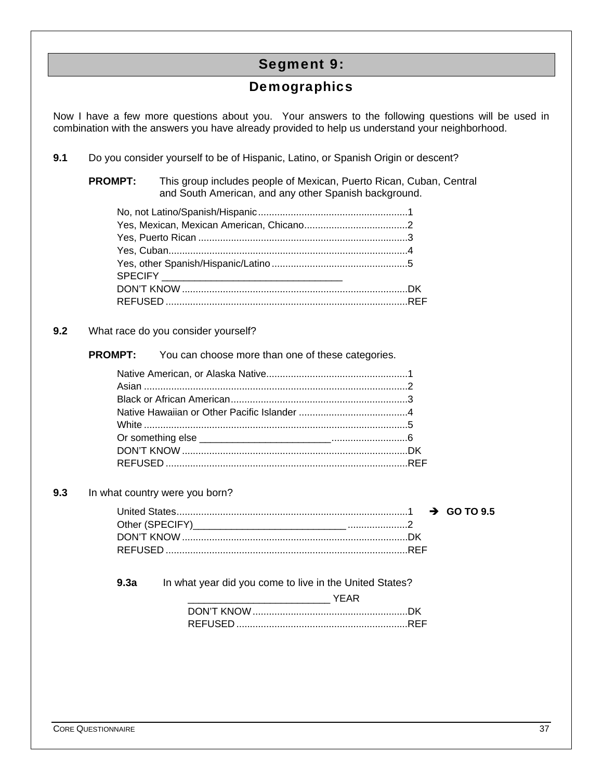## Segment 9:

## **Demographics**

Now I have a few more questions about you. Your answers to the following questions will be used in combination with the answers you have already provided to help us understand your neighborhood.

- **9.1** Do you consider yourself to be of Hispanic, Latino, or Spanish Origin or descent?
	- **PROMPT:** This group includes people of Mexican, Puerto Rican, Cuban, Central and South American, and any other Spanish background.

**9.2** What race do you consider yourself?

**PROMPT:** You can choose more than one of these categories.

#### **9.3** In what country were you born?

## **9.3a** In what year did you come to live in the United States?

| YFAR |
|------|
|      |
|      |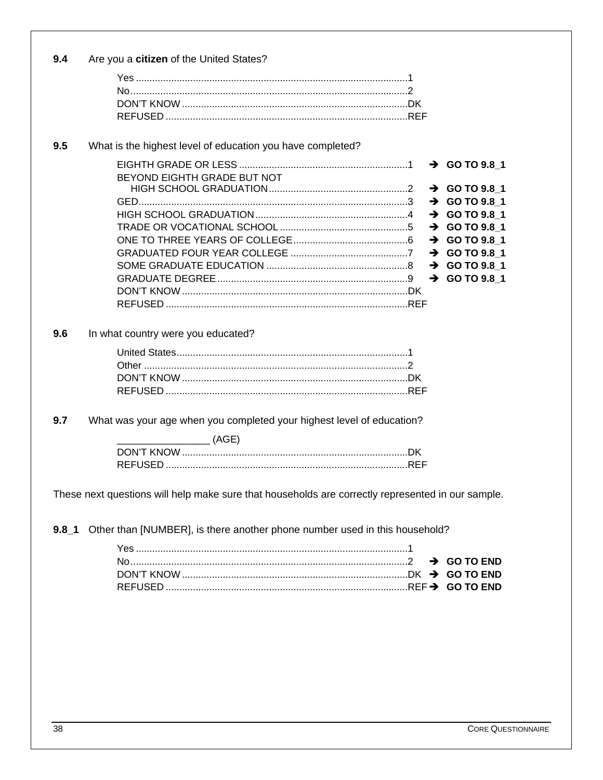|           | Are you a citizen of the United States?                                                           |  |  |                           |  |  |  |
|-----------|---------------------------------------------------------------------------------------------------|--|--|---------------------------|--|--|--|
|           |                                                                                                   |  |  |                           |  |  |  |
|           |                                                                                                   |  |  |                           |  |  |  |
|           |                                                                                                   |  |  |                           |  |  |  |
|           |                                                                                                   |  |  |                           |  |  |  |
| 9.5       | What is the highest level of education you have completed?                                        |  |  |                           |  |  |  |
|           |                                                                                                   |  |  | $\rightarrow$ GO TO 9.8_1 |  |  |  |
|           | BEYOND EIGHTH GRADE BUT NOT                                                                       |  |  |                           |  |  |  |
|           |                                                                                                   |  |  | $\rightarrow$ GO TO 9.8 1 |  |  |  |
|           |                                                                                                   |  |  | $\rightarrow$ GO TO 9.8_1 |  |  |  |
|           |                                                                                                   |  |  | $\rightarrow$ GO TO 9.8_1 |  |  |  |
|           |                                                                                                   |  |  | $\rightarrow$ GO TO 9.8 1 |  |  |  |
|           |                                                                                                   |  |  | $\rightarrow$ GO TO 9.8 1 |  |  |  |
|           |                                                                                                   |  |  | $\rightarrow$ GO TO 9.8_1 |  |  |  |
|           |                                                                                                   |  |  | $\rightarrow$ GO TO 9.8_1 |  |  |  |
|           |                                                                                                   |  |  | $\rightarrow$ GO TO 9.8 1 |  |  |  |
|           |                                                                                                   |  |  |                           |  |  |  |
|           |                                                                                                   |  |  |                           |  |  |  |
|           |                                                                                                   |  |  |                           |  |  |  |
| 9.6       | In what country were you educated?                                                                |  |  |                           |  |  |  |
|           |                                                                                                   |  |  |                           |  |  |  |
|           |                                                                                                   |  |  |                           |  |  |  |
|           |                                                                                                   |  |  |                           |  |  |  |
|           |                                                                                                   |  |  |                           |  |  |  |
|           |                                                                                                   |  |  |                           |  |  |  |
| 9.7       | What was your age when you completed your highest level of education?                             |  |  |                           |  |  |  |
|           | (AGE)                                                                                             |  |  |                           |  |  |  |
|           |                                                                                                   |  |  |                           |  |  |  |
|           |                                                                                                   |  |  |                           |  |  |  |
|           |                                                                                                   |  |  |                           |  |  |  |
|           | These next questions will help make sure that households are correctly represented in our sample. |  |  |                           |  |  |  |
|           | Other than [NUMBER], is there another phone number used in this household?                        |  |  |                           |  |  |  |
| $9.8 - 1$ |                                                                                                   |  |  |                           |  |  |  |
|           |                                                                                                   |  |  | $\rightarrow$ GO TO END   |  |  |  |
|           |                                                                                                   |  |  |                           |  |  |  |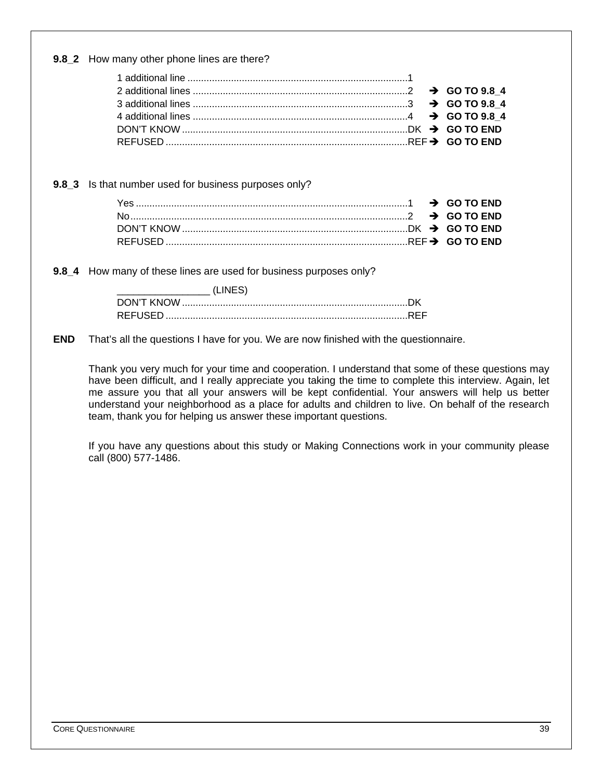|            | 9.8_2 How many other phone lines are there?                                                                            |                                                                                                                                                                                                                                                                                                                                                                                                                      |  |                                                        |  |  |
|------------|------------------------------------------------------------------------------------------------------------------------|----------------------------------------------------------------------------------------------------------------------------------------------------------------------------------------------------------------------------------------------------------------------------------------------------------------------------------------------------------------------------------------------------------------------|--|--------------------------------------------------------|--|--|
|            |                                                                                                                        |                                                                                                                                                                                                                                                                                                                                                                                                                      |  | $\rightarrow$ GO TO 9.8 4                              |  |  |
|            |                                                                                                                        |                                                                                                                                                                                                                                                                                                                                                                                                                      |  | $\rightarrow$ GO TO 9.8 4<br>$\rightarrow$ GO TO 9.8 4 |  |  |
|            |                                                                                                                        |                                                                                                                                                                                                                                                                                                                                                                                                                      |  |                                                        |  |  |
|            |                                                                                                                        |                                                                                                                                                                                                                                                                                                                                                                                                                      |  |                                                        |  |  |
|            |                                                                                                                        |                                                                                                                                                                                                                                                                                                                                                                                                                      |  |                                                        |  |  |
|            | 9.8_3 Is that number used for business purposes only?                                                                  |                                                                                                                                                                                                                                                                                                                                                                                                                      |  |                                                        |  |  |
|            |                                                                                                                        |                                                                                                                                                                                                                                                                                                                                                                                                                      |  |                                                        |  |  |
|            |                                                                                                                        |                                                                                                                                                                                                                                                                                                                                                                                                                      |  |                                                        |  |  |
|            |                                                                                                                        |                                                                                                                                                                                                                                                                                                                                                                                                                      |  |                                                        |  |  |
|            |                                                                                                                        |                                                                                                                                                                                                                                                                                                                                                                                                                      |  |                                                        |  |  |
|            | 9.8_4 How many of these lines are used for business purposes only?                                                     |                                                                                                                                                                                                                                                                                                                                                                                                                      |  |                                                        |  |  |
|            |                                                                                                                        |                                                                                                                                                                                                                                                                                                                                                                                                                      |  |                                                        |  |  |
|            |                                                                                                                        |                                                                                                                                                                                                                                                                                                                                                                                                                      |  |                                                        |  |  |
|            |                                                                                                                        |                                                                                                                                                                                                                                                                                                                                                                                                                      |  |                                                        |  |  |
| <b>END</b> | That's all the questions I have for you. We are now finished with the questionnaire.                                   |                                                                                                                                                                                                                                                                                                                                                                                                                      |  |                                                        |  |  |
|            | team, thank you for helping us answer these important questions.                                                       | Thank you very much for your time and cooperation. I understand that some of these questions may<br>have been difficult, and I really appreciate you taking the time to complete this interview. Again, let<br>me assure you that all your answers will be kept confidential. Your answers will help us better<br>understand your neighborhood as a place for adults and children to live. On behalf of the research |  |                                                        |  |  |
|            | If you have any questions about this study or Making Connections work in your community please<br>call (800) 577-1486. |                                                                                                                                                                                                                                                                                                                                                                                                                      |  |                                                        |  |  |
|            |                                                                                                                        |                                                                                                                                                                                                                                                                                                                                                                                                                      |  |                                                        |  |  |
|            |                                                                                                                        |                                                                                                                                                                                                                                                                                                                                                                                                                      |  |                                                        |  |  |
|            |                                                                                                                        |                                                                                                                                                                                                                                                                                                                                                                                                                      |  |                                                        |  |  |
|            |                                                                                                                        |                                                                                                                                                                                                                                                                                                                                                                                                                      |  |                                                        |  |  |
|            |                                                                                                                        |                                                                                                                                                                                                                                                                                                                                                                                                                      |  |                                                        |  |  |
|            |                                                                                                                        |                                                                                                                                                                                                                                                                                                                                                                                                                      |  |                                                        |  |  |
|            |                                                                                                                        |                                                                                                                                                                                                                                                                                                                                                                                                                      |  |                                                        |  |  |
|            |                                                                                                                        |                                                                                                                                                                                                                                                                                                                                                                                                                      |  |                                                        |  |  |
|            |                                                                                                                        |                                                                                                                                                                                                                                                                                                                                                                                                                      |  |                                                        |  |  |
|            |                                                                                                                        |                                                                                                                                                                                                                                                                                                                                                                                                                      |  |                                                        |  |  |
|            |                                                                                                                        |                                                                                                                                                                                                                                                                                                                                                                                                                      |  |                                                        |  |  |
|            |                                                                                                                        |                                                                                                                                                                                                                                                                                                                                                                                                                      |  |                                                        |  |  |
|            |                                                                                                                        |                                                                                                                                                                                                                                                                                                                                                                                                                      |  |                                                        |  |  |
|            |                                                                                                                        |                                                                                                                                                                                                                                                                                                                                                                                                                      |  |                                                        |  |  |